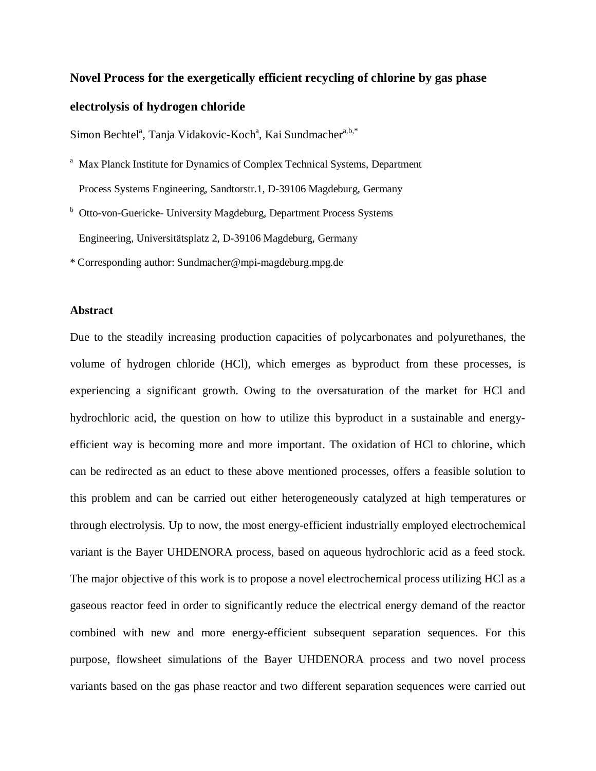# **Novel Process for the exergetically efficient recycling of chlorine by gas phase electrolysis of hydrogen chloride**

Simon Bechtel<sup>a</sup>, Tanja Vidakovic-Koch<sup>a</sup>, Kai Sundmacher<sup>a,b,\*</sup>

- <sup>a</sup> Max Planck Institute for Dynamics of Complex Technical Systems, Department Process Systems Engineering, Sandtorstr.1, D-39106 Magdeburg, Germany
- <sup>b</sup> Otto-von-Guericke- University Magdeburg, Department Process Systems Engineering, Universitätsplatz 2, D-39106 Magdeburg, Germany
- \* Corresponding author: Sundmacher@mpi-magdeburg.mpg.de

# **Abstract**

Due to the steadily increasing production capacities of polycarbonates and polyurethanes, the volume of hydrogen chloride (HCl), which emerges as byproduct from these processes, is experiencing a significant growth. Owing to the oversaturation of the market for HCl and hydrochloric acid, the question on how to utilize this byproduct in a sustainable and energyefficient way is becoming more and more important. The oxidation of HCl to chlorine, which can be redirected as an educt to these above mentioned processes, offers a feasible solution to this problem and can be carried out either heterogeneously catalyzed at high temperatures or through electrolysis. Up to now, the most energy-efficient industrially employed electrochemical variant is the Bayer UHDENORA process, based on aqueous hydrochloric acid as a feed stock. The major objective of this work is to propose a novel electrochemical process utilizing HCl as a gaseous reactor feed in order to significantly reduce the electrical energy demand of the reactor combined with new and more energy-efficient subsequent separation sequences. For this purpose, flowsheet simulations of the Bayer UHDENORA process and two novel process variants based on the gas phase reactor and two different separation sequences were carried out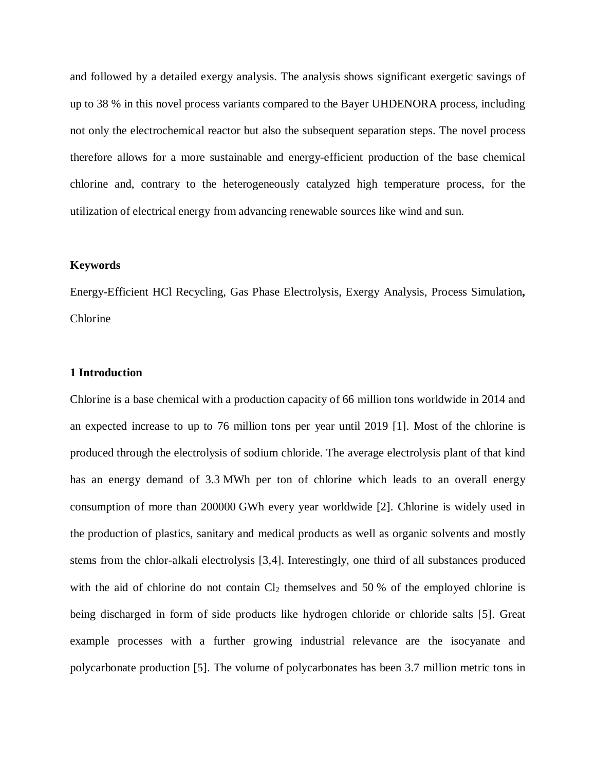and followed by a detailed exergy analysis. The analysis shows significant exergetic savings of up to 38 % in this novel process variants compared to the Bayer UHDENORA process, including not only the electrochemical reactor but also the subsequent separation steps. The novel process therefore allows for a more sustainable and energy-efficient production of the base chemical chlorine and, contrary to the heterogeneously catalyzed high temperature process, for the utilization of electrical energy from advancing renewable sources like wind and sun.

# **Keywords**

Energy-Efficient HCl Recycling, Gas Phase Electrolysis, Exergy Analysis, Process Simulation**,** Chlorine

## **1 Introduction**

Chlorine is a base chemical with a production capacity of 66 million tons worldwide in 2014 and an expected increase to up to 76 million tons per year until 2019 [1]. Most of the chlorine is produced through the electrolysis of sodium chloride. The average electrolysis plant of that kind has an energy demand of 3.3 MWh per ton of chlorine which leads to an overall energy consumption of more than 200000 GWh every year worldwide [2]. Chlorine is widely used in the production of plastics, sanitary and medical products as well as organic solvents and mostly stems from the chlor-alkali electrolysis [3,4]. Interestingly, one third of all substances produced with the aid of chlorine do not contain  $Cl_2$  themselves and 50 % of the employed chlorine is being discharged in form of side products like hydrogen chloride or chloride salts [5]. Great example processes with a further growing industrial relevance are the isocyanate and polycarbonate production [5]. The volume of polycarbonates has been 3.7 million metric tons in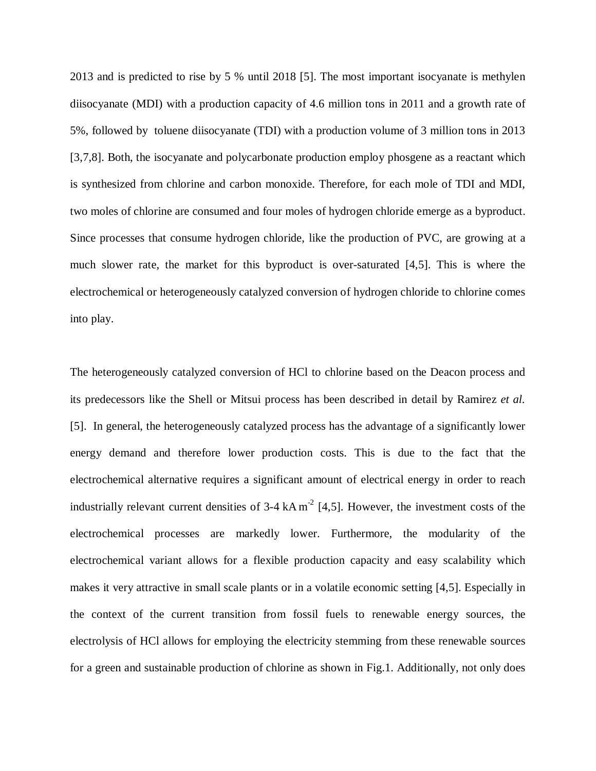2013 and is predicted to rise by 5 % until 2018 [5]. The most important isocyanate is methylen diisocyanate (MDI) with a production capacity of 4.6 million tons in 2011 and a growth rate of 5%, followed by toluene diisocyanate (TDI) with a production volume of 3 million tons in 2013 [3,7,8]. Both, the isocyanate and polycarbonate production employ phosgene as a reactant which is synthesized from chlorine and carbon monoxide. Therefore, for each mole of TDI and MDI, two moles of chlorine are consumed and four moles of hydrogen chloride emerge as a byproduct. Since processes that consume hydrogen chloride, like the production of PVC, are growing at a much slower rate, the market for this byproduct is over-saturated [4,5]. This is where the electrochemical or heterogeneously catalyzed conversion of hydrogen chloride to chlorine comes into play.

The heterogeneously catalyzed conversion of HCl to chlorine based on the Deacon process and its predecessors like the Shell or Mitsui process has been described in detail by Ramirez *et al.* [5]. In general, the heterogeneously catalyzed process has the advantage of a significantly lower energy demand and therefore lower production costs. This is due to the fact that the electrochemical alternative requires a significant amount of electrical energy in order to reach industrially relevant current densities of  $3-4$  kA m<sup>-2</sup> [4,5]. However, the investment costs of the electrochemical processes are markedly lower. Furthermore, the modularity of the electrochemical variant allows for a flexible production capacity and easy scalability which makes it very attractive in small scale plants or in a volatile economic setting [4,5]. Especially in the context of the current transition from fossil fuels to renewable energy sources, the electrolysis of HCl allows for employing the electricity stemming from these renewable sources for a green and sustainable production of chlorine as shown in Fig.1. Additionally, not only does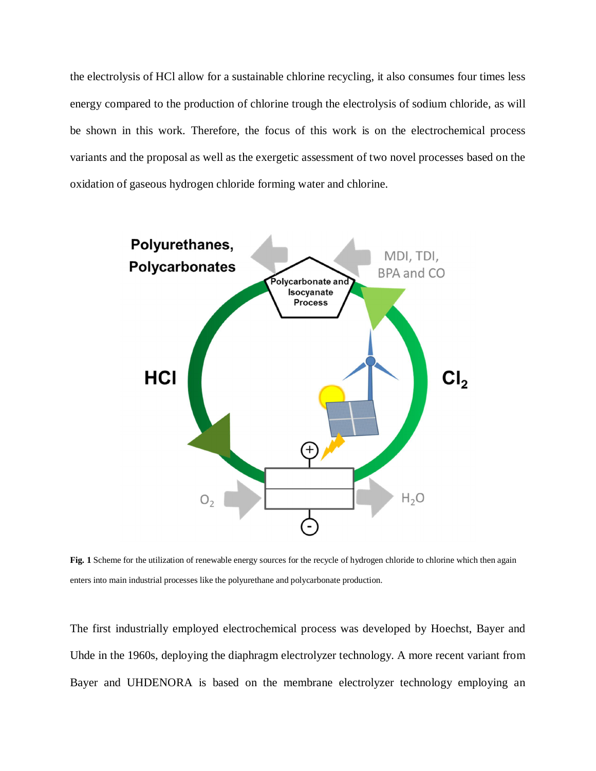the electrolysis of HCl allow for a sustainable chlorine recycling, it also consumes four times less energy compared to the production of chlorine trough the electrolysis of sodium chloride, as will be shown in this work. Therefore, the focus of this work is on the electrochemical process variants and the proposal as well as the exergetic assessment of two novel processes based on the oxidation of gaseous hydrogen chloride forming water and chlorine.



**Fig. 1** Scheme for the utilization of renewable energy sources for the recycle of hydrogen chloride to chlorine which then again enters into main industrial processes like the polyurethane and polycarbonate production.

The first industrially employed electrochemical process was developed by Hoechst, Bayer and Uhde in the 1960s, deploying the diaphragm electrolyzer technology. A more recent variant from Bayer and UHDENORA is based on the membrane electrolyzer technology employing an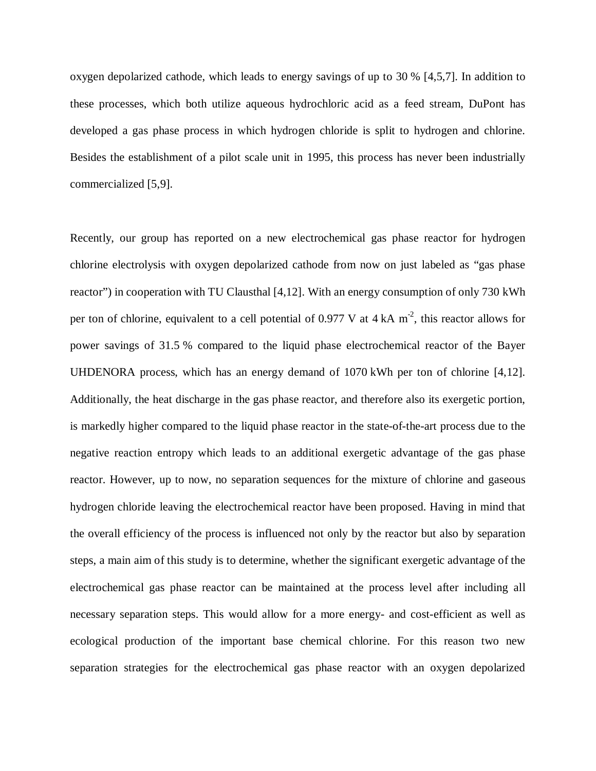oxygen depolarized cathode, which leads to energy savings of up to 30 % [4,5,7]. In addition to these processes, which both utilize aqueous hydrochloric acid as a feed stream, DuPont has developed a gas phase process in which hydrogen chloride is split to hydrogen and chlorine. Besides the establishment of a pilot scale unit in 1995, this process has never been industrially commercialized [5,9].

Recently, our group has reported on a new electrochemical gas phase reactor for hydrogen chlorine electrolysis with oxygen depolarized cathode from now on just labeled as "gas phase reactor") in cooperation with TU Clausthal [4,12]. With an energy consumption of only 730 kWh per ton of chlorine, equivalent to a cell potential of 0.977 V at  $4 \text{ kA m}^2$ , this reactor allows for power savings of 31.5 % compared to the liquid phase electrochemical reactor of the Bayer UHDENORA process, which has an energy demand of 1070 kWh per ton of chlorine [4,12]. Additionally, the heat discharge in the gas phase reactor, and therefore also its exergetic portion, is markedly higher compared to the liquid phase reactor in the state-of-the-art process due to the negative reaction entropy which leads to an additional exergetic advantage of the gas phase reactor. However, up to now, no separation sequences for the mixture of chlorine and gaseous hydrogen chloride leaving the electrochemical reactor have been proposed. Having in mind that the overall efficiency of the process is influenced not only by the reactor but also by separation steps, a main aim of this study is to determine, whether the significant exergetic advantage of the electrochemical gas phase reactor can be maintained at the process level after including all necessary separation steps. This would allow for a more energy- and cost-efficient as well as ecological production of the important base chemical chlorine. For this reason two new separation strategies for the electrochemical gas phase reactor with an oxygen depolarized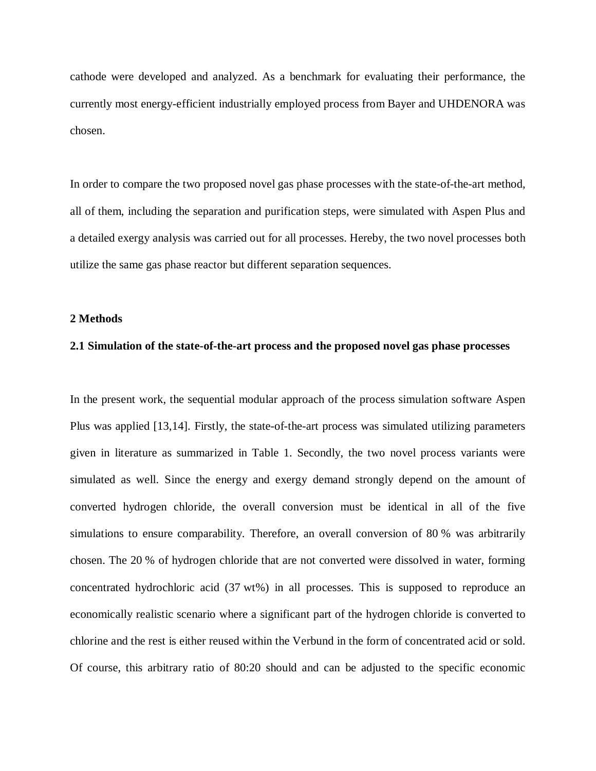cathode were developed and analyzed. As a benchmark for evaluating their performance, the currently most energy-efficient industrially employed process from Bayer and UHDENORA was chosen.

In order to compare the two proposed novel gas phase processes with the state-of-the-art method, all of them, including the separation and purification steps, were simulated with Aspen Plus and a detailed exergy analysis was carried out for all processes. Hereby, the two novel processes both utilize the same gas phase reactor but different separation sequences.

#### **2 Methods**

#### **2.1 Simulation of the state-of-the-art process and the proposed novel gas phase processes**

In the present work, the sequential modular approach of the process simulation software Aspen Plus was applied [13,14]. Firstly, the state-of-the-art process was simulated utilizing parameters given in literature as summarized in Table 1. Secondly, the two novel process variants were simulated as well. Since the energy and exergy demand strongly depend on the amount of converted hydrogen chloride, the overall conversion must be identical in all of the five simulations to ensure comparability. Therefore, an overall conversion of 80 % was arbitrarily chosen. The 20 % of hydrogen chloride that are not converted were dissolved in water, forming concentrated hydrochloric acid (37 wt%) in all processes. This is supposed to reproduce an economically realistic scenario where a significant part of the hydrogen chloride is converted to chlorine and the rest is either reused within the Verbund in the form of concentrated acid or sold. Of course, this arbitrary ratio of 80:20 should and can be adjusted to the specific economic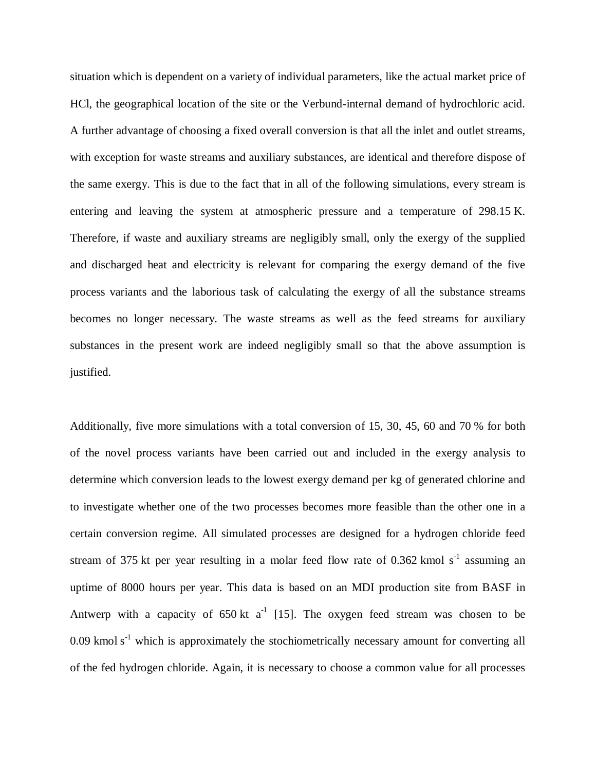situation which is dependent on a variety of individual parameters, like the actual market price of HCl, the geographical location of the site or the Verbund-internal demand of hydrochloric acid. A further advantage of choosing a fixed overall conversion is that all the inlet and outlet streams, with exception for waste streams and auxiliary substances, are identical and therefore dispose of the same exergy. This is due to the fact that in all of the following simulations, every stream is entering and leaving the system at atmospheric pressure and a temperature of 298.15 K. Therefore, if waste and auxiliary streams are negligibly small, only the exergy of the supplied and discharged heat and electricity is relevant for comparing the exergy demand of the five process variants and the laborious task of calculating the exergy of all the substance streams becomes no longer necessary. The waste streams as well as the feed streams for auxiliary substances in the present work are indeed negligibly small so that the above assumption is justified.

Additionally, five more simulations with a total conversion of 15, 30, 45, 60 and 70 % for both of the novel process variants have been carried out and included in the exergy analysis to determine which conversion leads to the lowest exergy demand per kg of generated chlorine and to investigate whether one of the two processes becomes more feasible than the other one in a certain conversion regime. All simulated processes are designed for a hydrogen chloride feed stream of 375 kt per year resulting in a molar feed flow rate of 0.362 kmol  $s^{-1}$  assuming an uptime of 8000 hours per year. This data is based on an MDI production site from BASF in Antwerp with a capacity of 650 kt  $a^{-1}$  [15]. The oxygen feed stream was chosen to be  $0.09$  kmol s<sup>-1</sup> which is approximately the stochiometrically necessary amount for converting all of the fed hydrogen chloride. Again, it is necessary to choose a common value for all processes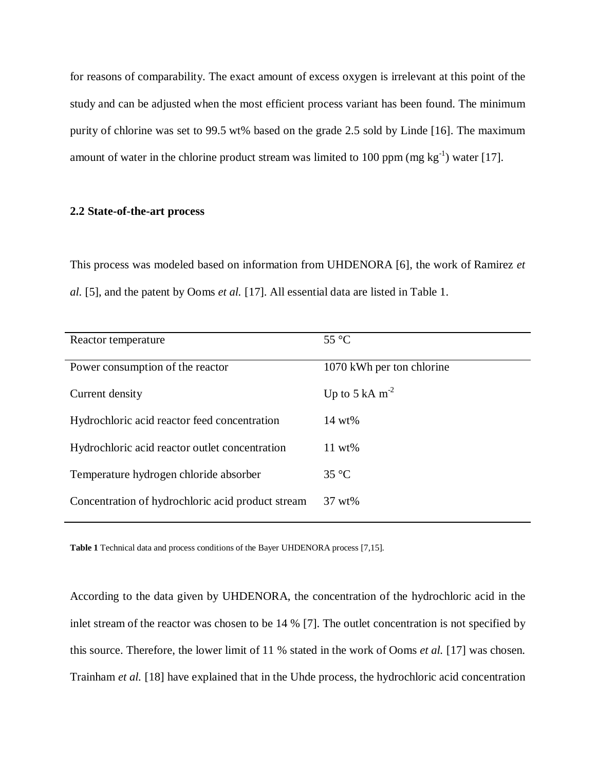for reasons of comparability. The exact amount of excess oxygen is irrelevant at this point of the study and can be adjusted when the most efficient process variant has been found. The minimum purity of chlorine was set to 99.5 wt% based on the grade 2.5 sold by Linde [16]. The maximum amount of water in the chlorine product stream was limited to 100 ppm (mg  $kg^{-1}$ ) water [17].

## **2.2 State-of-the-art process**

This process was modeled based on information from UHDENORA [6], the work of Ramirez *et al.* [5], and the patent by Ooms *et al.* [17]. All essential data are listed in Table 1.

| Reactor temperature                               | $55^{\circ}$ C            |
|---------------------------------------------------|---------------------------|
| Power consumption of the reactor                  | 1070 kWh per ton chlorine |
| Current density                                   | Up to 5 kA $m-2$          |
| Hydrochloric acid reactor feed concentration      | $14 wt\%$                 |
| Hydrochloric acid reactor outlet concentration    | $11 wt\%$                 |
| Temperature hydrogen chloride absorber            | $35^{\circ}$ C            |
| Concentration of hydrochloric acid product stream | 37 wt%                    |

**Table 1** Technical data and process conditions of the Bayer UHDENORA process [7,15].

According to the data given by UHDENORA, the concentration of the hydrochloric acid in the inlet stream of the reactor was chosen to be 14 % [7]. The outlet concentration is not specified by this source. Therefore, the lower limit of 11 % stated in the work of Ooms *et al.* [17] was chosen. Trainham *et al.* [18] have explained that in the Uhde process, the hydrochloric acid concentration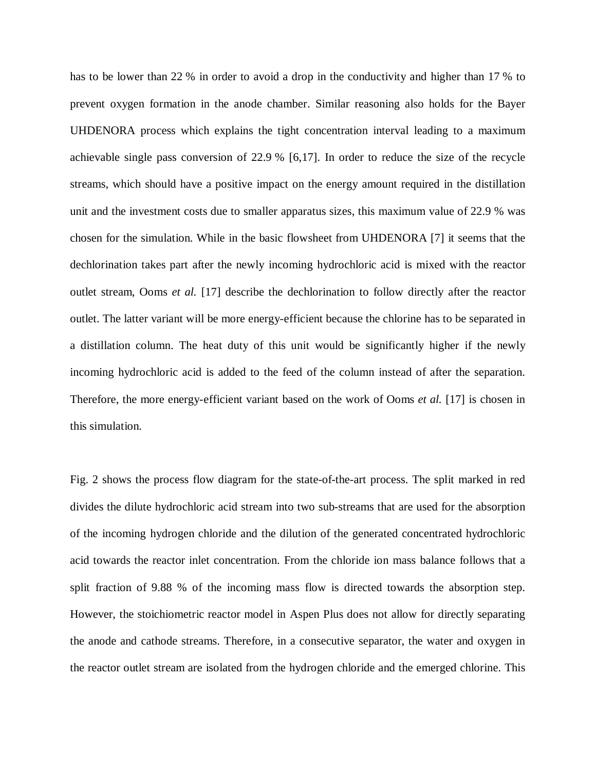has to be lower than 22 % in order to avoid a drop in the conductivity and higher than 17 % to prevent oxygen formation in the anode chamber. Similar reasoning also holds for the Bayer UHDENORA process which explains the tight concentration interval leading to a maximum achievable single pass conversion of 22.9 % [6,17]. In order to reduce the size of the recycle streams, which should have a positive impact on the energy amount required in the distillation unit and the investment costs due to smaller apparatus sizes, this maximum value of 22.9 % was chosen for the simulation. While in the basic flowsheet from UHDENORA [7] it seems that the dechlorination takes part after the newly incoming hydrochloric acid is mixed with the reactor outlet stream, Ooms *et al.* [17] describe the dechlorination to follow directly after the reactor outlet. The latter variant will be more energy-efficient because the chlorine has to be separated in a distillation column. The heat duty of this unit would be significantly higher if the newly incoming hydrochloric acid is added to the feed of the column instead of after the separation. Therefore, the more energy-efficient variant based on the work of Ooms *et al.* [17] is chosen in this simulation.

Fig. 2 shows the process flow diagram for the state-of-the-art process. The split marked in red divides the dilute hydrochloric acid stream into two sub-streams that are used for the absorption of the incoming hydrogen chloride and the dilution of the generated concentrated hydrochloric acid towards the reactor inlet concentration. From the chloride ion mass balance follows that a split fraction of 9.88 % of the incoming mass flow is directed towards the absorption step. However, the stoichiometric reactor model in Aspen Plus does not allow for directly separating the anode and cathode streams. Therefore, in a consecutive separator, the water and oxygen in the reactor outlet stream are isolated from the hydrogen chloride and the emerged chlorine. This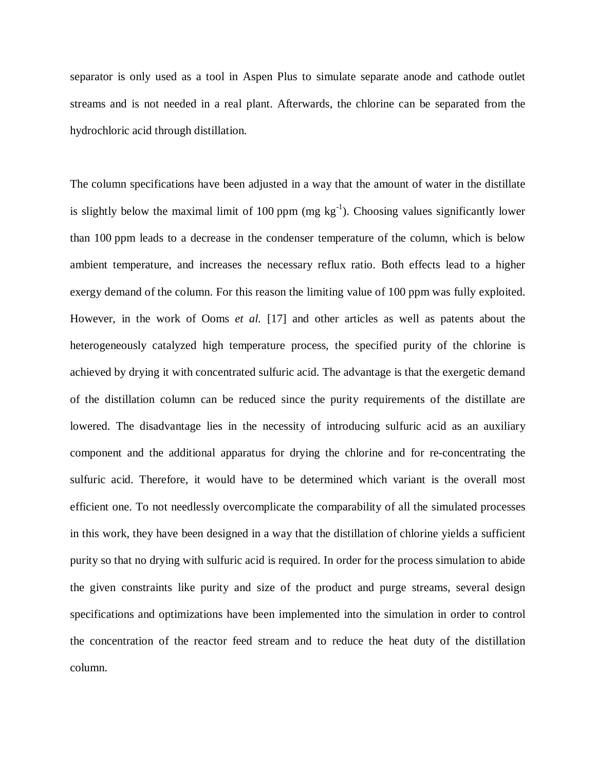separator is only used as a tool in Aspen Plus to simulate separate anode and cathode outlet streams and is not needed in a real plant. Afterwards, the chlorine can be separated from the hydrochloric acid through distillation.

The column specifications have been adjusted in a way that the amount of water in the distillate is slightly below the maximal limit of 100 ppm  $(mg kg<sup>-1</sup>)$ . Choosing values significantly lower than 100 ppm leads to a decrease in the condenser temperature of the column, which is below ambient temperature, and increases the necessary reflux ratio. Both effects lead to a higher exergy demand of the column. For this reason the limiting value of 100 ppm was fully exploited. However, in the work of Ooms *et al.* [17] and other articles as well as patents about the heterogeneously catalyzed high temperature process, the specified purity of the chlorine is achieved by drying it with concentrated sulfuric acid. The advantage is that the exergetic demand of the distillation column can be reduced since the purity requirements of the distillate are lowered. The disadvantage lies in the necessity of introducing sulfuric acid as an auxiliary component and the additional apparatus for drying the chlorine and for re-concentrating the sulfuric acid. Therefore, it would have to be determined which variant is the overall most efficient one. To not needlessly overcomplicate the comparability of all the simulated processes in this work, they have been designed in a way that the distillation of chlorine yields a sufficient purity so that no drying with sulfuric acid is required. In order for the process simulation to abide the given constraints like purity and size of the product and purge streams, several design specifications and optimizations have been implemented into the simulation in order to control the concentration of the reactor feed stream and to reduce the heat duty of the distillation column.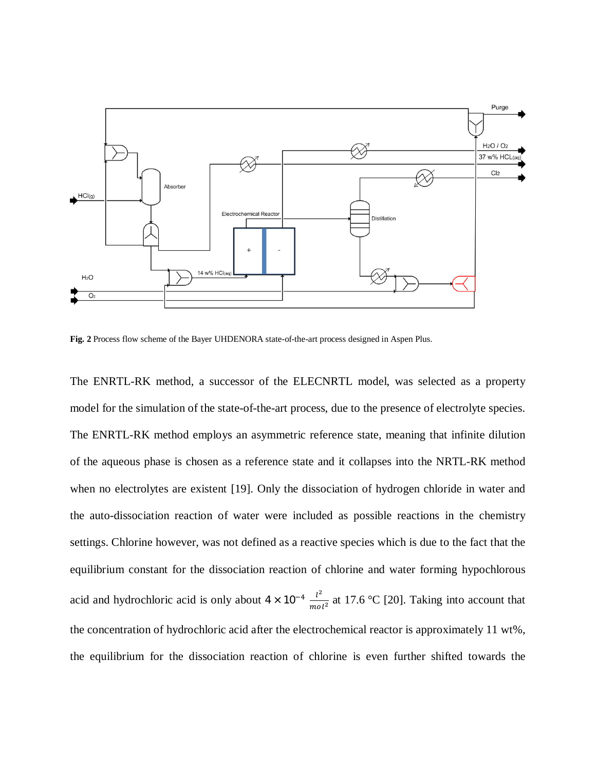

**Fig. 2** Process flow scheme of the Bayer UHDENORA state-of-the-art process designed in Aspen Plus.

The ENRTL-RK method, a successor of the ELECNRTL model, was selected as a property model for the simulation of the state-of-the-art process, due to the presence of electrolyte species. The ENRTL-RK method employs an asymmetric reference state, meaning that infinite dilution of the aqueous phase is chosen as a reference state and it collapses into the NRTL-RK method when no electrolytes are existent [19]. Only the dissociation of hydrogen chloride in water and the auto-dissociation reaction of water were included as possible reactions in the chemistry settings. Chlorine however, was not defined as a reactive species which is due to the fact that the equilibrium constant for the dissociation reaction of chlorine and water forming hypochlorous acid and hydrochloric acid is only about  $4 \times 10^{-4} \frac{l^2}{m}$  $\frac{t^2}{mol^2}$  at 17.6 °C [20]. Taking into account that the concentration of hydrochloric acid after the electrochemical reactor is approximately 11 wt%, the equilibrium for the dissociation reaction of chlorine is even further shifted towards the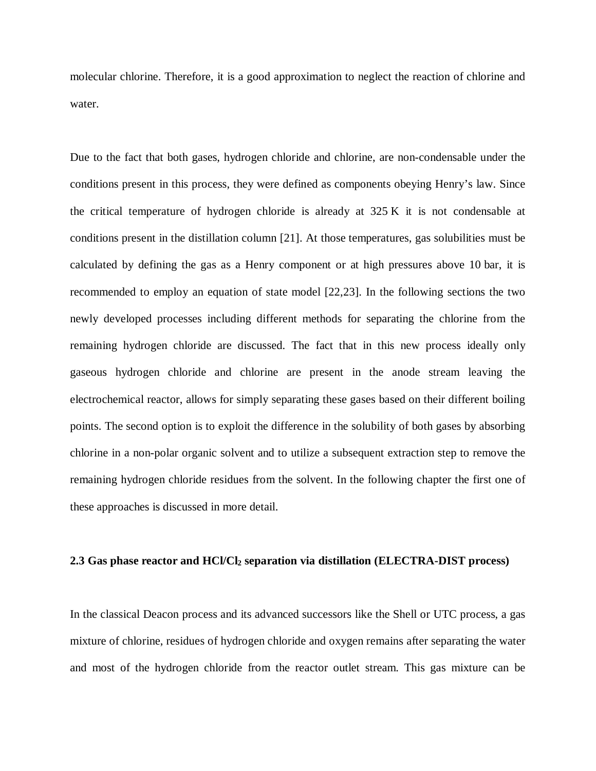molecular chlorine. Therefore, it is a good approximation to neglect the reaction of chlorine and water.

Due to the fact that both gases, hydrogen chloride and chlorine, are non-condensable under the conditions present in this process, they were defined as components obeying Henry's law. Since the critical temperature of hydrogen chloride is already at 325 K it is not condensable at conditions present in the distillation column [21]. At those temperatures, gas solubilities must be calculated by defining the gas as a Henry component or at high pressures above 10 bar, it is recommended to employ an equation of state model [22,23]. In the following sections the two newly developed processes including different methods for separating the chlorine from the remaining hydrogen chloride are discussed. The fact that in this new process ideally only gaseous hydrogen chloride and chlorine are present in the anode stream leaving the electrochemical reactor, allows for simply separating these gases based on their different boiling points. The second option is to exploit the difference in the solubility of both gases by absorbing chlorine in a non-polar organic solvent and to utilize a subsequent extraction step to remove the remaining hydrogen chloride residues from the solvent. In the following chapter the first one of these approaches is discussed in more detail.

#### **2.3 Gas phase reactor and HCl/Cl2 separation via distillation (ELECTRA-DIST process)**

In the classical Deacon process and its advanced successors like the Shell or UTC process, a gas mixture of chlorine, residues of hydrogen chloride and oxygen remains after separating the water and most of the hydrogen chloride from the reactor outlet stream. This gas mixture can be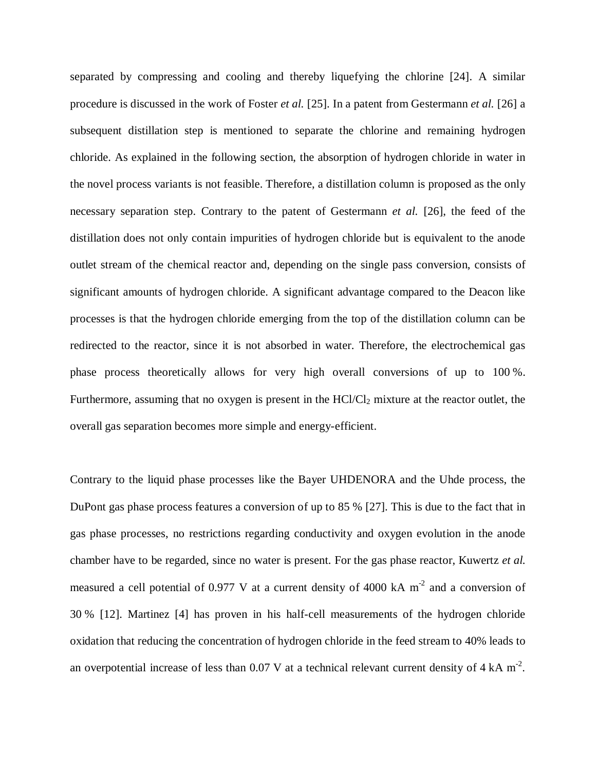separated by compressing and cooling and thereby liquefying the chlorine [24]. A similar procedure is discussed in the work of Foster *et al.* [25]. In a patent from Gestermann *et al.* [26] a subsequent distillation step is mentioned to separate the chlorine and remaining hydrogen chloride. As explained in the following section, the absorption of hydrogen chloride in water in the novel process variants is not feasible. Therefore, a distillation column is proposed as the only necessary separation step. Contrary to the patent of Gestermann *et al.* [26], the feed of the distillation does not only contain impurities of hydrogen chloride but is equivalent to the anode outlet stream of the chemical reactor and, depending on the single pass conversion, consists of significant amounts of hydrogen chloride. A significant advantage compared to the Deacon like processes is that the hydrogen chloride emerging from the top of the distillation column can be redirected to the reactor, since it is not absorbed in water. Therefore, the electrochemical gas phase process theoretically allows for very high overall conversions of up to 100 %. Furthermore, assuming that no oxygen is present in the  $HC/Cl<sub>2</sub>$  mixture at the reactor outlet, the overall gas separation becomes more simple and energy-efficient.

Contrary to the liquid phase processes like the Bayer UHDENORA and the Uhde process, the DuPont gas phase process features a conversion of up to 85 % [27]. This is due to the fact that in gas phase processes, no restrictions regarding conductivity and oxygen evolution in the anode chamber have to be regarded, since no water is present. For the gas phase reactor, Kuwertz *et al.* measured a cell potential of 0.977 V at a current density of 4000 kA  $m<sup>-2</sup>$  and a conversion of 30 % [12]. Martinez [4] has proven in his half-cell measurements of the hydrogen chloride oxidation that reducing the concentration of hydrogen chloride in the feed stream to 40% leads to an overpotential increase of less than 0.07 V at a technical relevant current density of  $4 \text{ kA m}^2$ .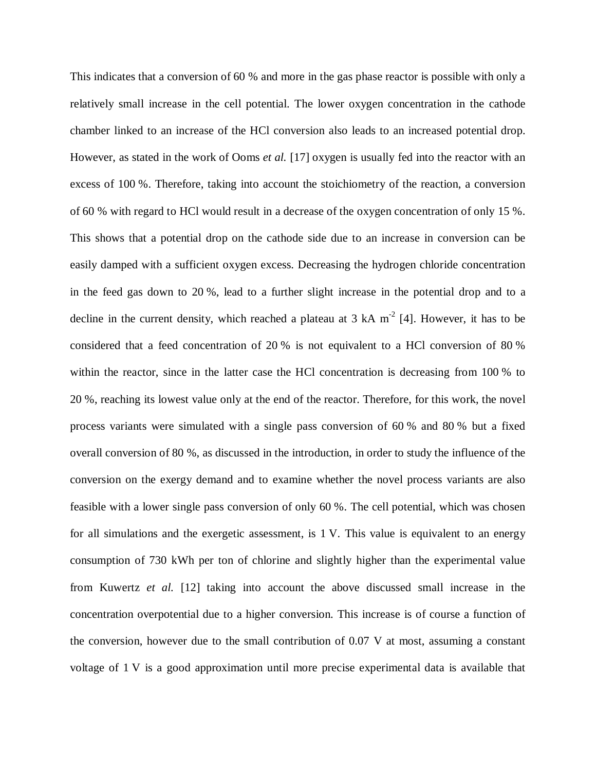This indicates that a conversion of 60 % and more in the gas phase reactor is possible with only a relatively small increase in the cell potential. The lower oxygen concentration in the cathode chamber linked to an increase of the HCl conversion also leads to an increased potential drop. However, as stated in the work of Ooms *et al.* [17] oxygen is usually fed into the reactor with an excess of 100 %. Therefore, taking into account the stoichiometry of the reaction, a conversion of 60 % with regard to HCl would result in a decrease of the oxygen concentration of only 15 %. This shows that a potential drop on the cathode side due to an increase in conversion can be easily damped with a sufficient oxygen excess. Decreasing the hydrogen chloride concentration in the feed gas down to 20 %, lead to a further slight increase in the potential drop and to a decline in the current density, which reached a plateau at  $3 \text{ kA m}^2$  [4]. However, it has to be considered that a feed concentration of 20 % is not equivalent to a HCl conversion of 80 % within the reactor, since in the latter case the HCl concentration is decreasing from 100 % to 20 %, reaching its lowest value only at the end of the reactor. Therefore, for this work, the novel process variants were simulated with a single pass conversion of 60 % and 80 % but a fixed overall conversion of 80 %, as discussed in the introduction, in order to study the influence of the conversion on the exergy demand and to examine whether the novel process variants are also feasible with a lower single pass conversion of only 60 %. The cell potential, which was chosen for all simulations and the exergetic assessment, is 1 V. This value is equivalent to an energy consumption of 730 kWh per ton of chlorine and slightly higher than the experimental value from Kuwertz *et al.* [12] taking into account the above discussed small increase in the concentration overpotential due to a higher conversion. This increase is of course a function of the conversion, however due to the small contribution of 0.07 V at most, assuming a constant voltage of 1 V is a good approximation until more precise experimental data is available that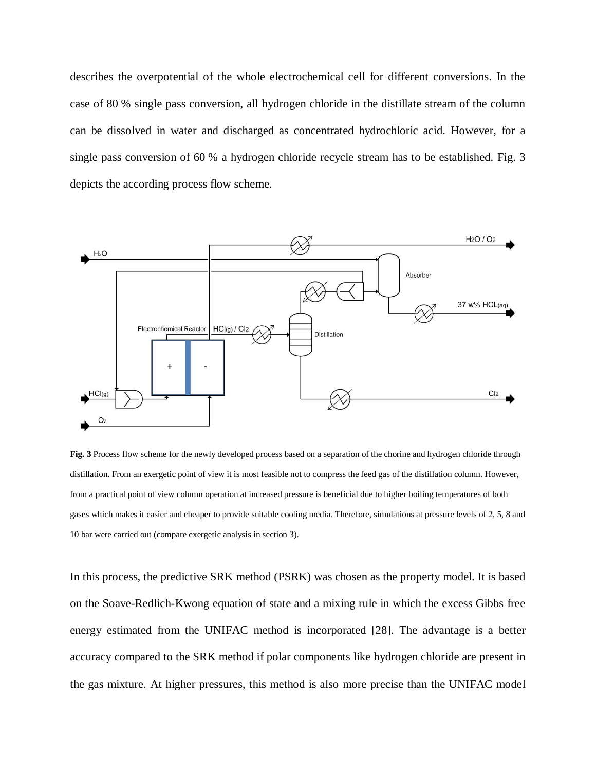describes the overpotential of the whole electrochemical cell for different conversions. In the case of 80 % single pass conversion, all hydrogen chloride in the distillate stream of the column can be dissolved in water and discharged as concentrated hydrochloric acid. However, for a single pass conversion of 60 % a hydrogen chloride recycle stream has to be established. Fig. 3 depicts the according process flow scheme.



**Fig. 3** Process flow scheme for the newly developed process based on a separation of the chorine and hydrogen chloride through distillation. From an exergetic point of view it is most feasible not to compress the feed gas of the distillation column. However, from a practical point of view column operation at increased pressure is beneficial due to higher boiling temperatures of both gases which makes it easier and cheaper to provide suitable cooling media. Therefore, simulations at pressure levels of 2, 5, 8 and 10 bar were carried out (compare exergetic analysis in section 3).

In this process, the predictive SRK method (PSRK) was chosen as the property model. It is based on the Soave-Redlich-Kwong equation of state and a mixing rule in which the excess Gibbs free energy estimated from the UNIFAC method is incorporated [28]. The advantage is a better accuracy compared to the SRK method if polar components like hydrogen chloride are present in the gas mixture. At higher pressures, this method is also more precise than the UNIFAC model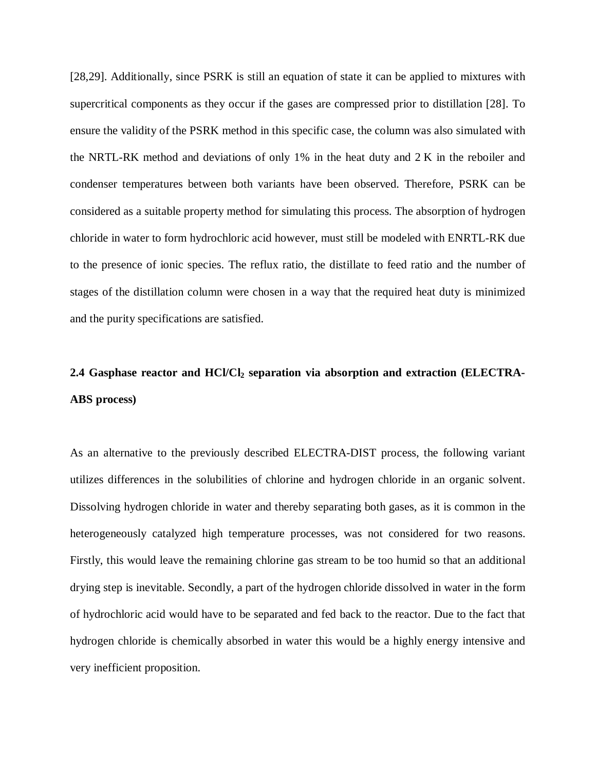[28,29]. Additionally, since PSRK is still an equation of state it can be applied to mixtures with supercritical components as they occur if the gases are compressed prior to distillation [28]. To ensure the validity of the PSRK method in this specific case, the column was also simulated with the NRTL-RK method and deviations of only 1% in the heat duty and 2 K in the reboiler and condenser temperatures between both variants have been observed. Therefore, PSRK can be considered as a suitable property method for simulating this process. The absorption of hydrogen chloride in water to form hydrochloric acid however, must still be modeled with ENRTL-RK due to the presence of ionic species. The reflux ratio, the distillate to feed ratio and the number of stages of the distillation column were chosen in a way that the required heat duty is minimized and the purity specifications are satisfied.

# **2.4 Gasphase reactor and HCl/Cl2 separation via absorption and extraction (ELECTRA-ABS process)**

As an alternative to the previously described ELECTRA-DIST process, the following variant utilizes differences in the solubilities of chlorine and hydrogen chloride in an organic solvent. Dissolving hydrogen chloride in water and thereby separating both gases, as it is common in the heterogeneously catalyzed high temperature processes, was not considered for two reasons. Firstly, this would leave the remaining chlorine gas stream to be too humid so that an additional drying step is inevitable. Secondly, a part of the hydrogen chloride dissolved in water in the form of hydrochloric acid would have to be separated and fed back to the reactor. Due to the fact that hydrogen chloride is chemically absorbed in water this would be a highly energy intensive and very inefficient proposition.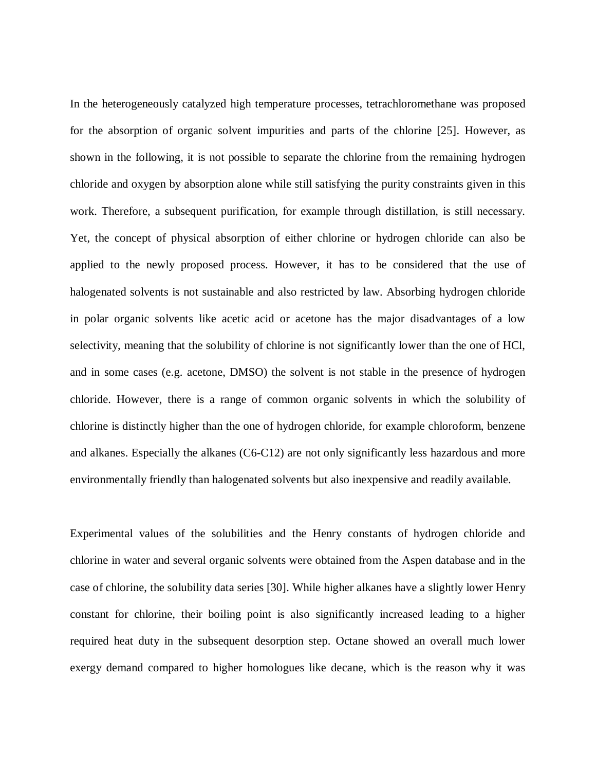In the heterogeneously catalyzed high temperature processes, tetrachloromethane was proposed for the absorption of organic solvent impurities and parts of the chlorine [25]. However, as shown in the following, it is not possible to separate the chlorine from the remaining hydrogen chloride and oxygen by absorption alone while still satisfying the purity constraints given in this work. Therefore, a subsequent purification, for example through distillation, is still necessary. Yet, the concept of physical absorption of either chlorine or hydrogen chloride can also be applied to the newly proposed process. However, it has to be considered that the use of halogenated solvents is not sustainable and also restricted by law. Absorbing hydrogen chloride in polar organic solvents like acetic acid or acetone has the major disadvantages of a low selectivity, meaning that the solubility of chlorine is not significantly lower than the one of HCl, and in some cases (e.g. acetone, DMSO) the solvent is not stable in the presence of hydrogen chloride. However, there is a range of common organic solvents in which the solubility of chlorine is distinctly higher than the one of hydrogen chloride, for example chloroform, benzene and alkanes. Especially the alkanes (C6-C12) are not only significantly less hazardous and more environmentally friendly than halogenated solvents but also inexpensive and readily available.

Experimental values of the solubilities and the Henry constants of hydrogen chloride and chlorine in water and several organic solvents were obtained from the Aspen database and in the case of chlorine, the solubility data series [30]. While higher alkanes have a slightly lower Henry constant for chlorine, their boiling point is also significantly increased leading to a higher required heat duty in the subsequent desorption step. Octane showed an overall much lower exergy demand compared to higher homologues like decane, which is the reason why it was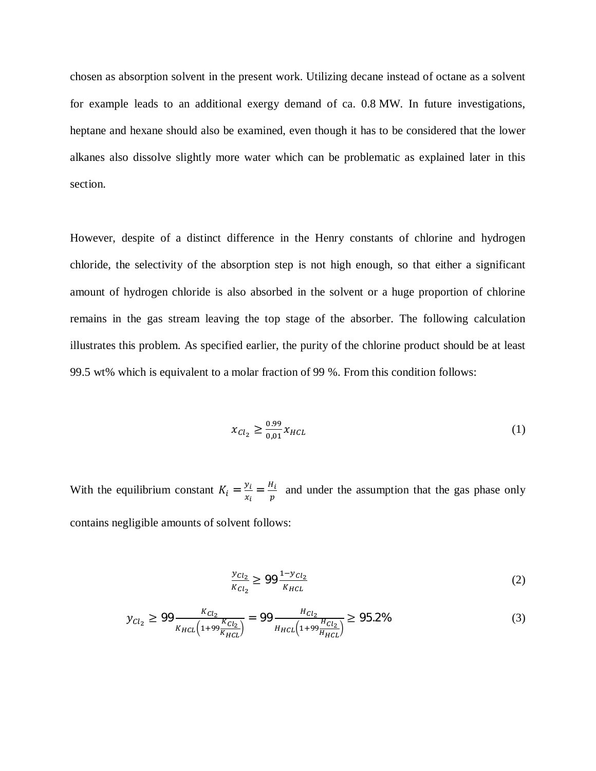chosen as absorption solvent in the present work. Utilizing decane instead of octane as a solvent for example leads to an additional exergy demand of ca. 0.8 MW. In future investigations, heptane and hexane should also be examined, even though it has to be considered that the lower alkanes also dissolve slightly more water which can be problematic as explained later in this section.

However, despite of a distinct difference in the Henry constants of chlorine and hydrogen chloride, the selectivity of the absorption step is not high enough, so that either a significant amount of hydrogen chloride is also absorbed in the solvent or a huge proportion of chlorine remains in the gas stream leaving the top stage of the absorber. The following calculation illustrates this problem. As specified earlier, the purity of the chlorine product should be at least 99.5 wt% which is equivalent to a molar fraction of 99 %. From this condition follows:

$$
x_{Cl_2} \ge \frac{0.99}{0.01} x_{HCL}
$$
 (1)

With the equilibrium constant  $K_i = \frac{y_i}{r_i}$  $\frac{y_i}{x_i} = \frac{H_i}{p}$  $\frac{n_i}{p}$  and under the assumption that the gas phase only contains negligible amounts of solvent follows:

$$
\frac{y_{Cl_2}}{K_{Cl_2}} \ge 99 \frac{1 - y_{Cl_2}}{K_{HCL}}
$$
 (2)

$$
y_{Cl_2} \ge 99 \frac{\kappa_{Cl_2}}{\kappa_{HCL} \left(1 + 99 \frac{\kappa_{Cl_2}}{\kappa_{HCL}}\right)} = 99 \frac{H_{Cl_2}}{H_{HCL} \left(1 + 99 \frac{H_{Cl_2}}{H_{HCL}}\right)} \ge 95.2\%
$$
\n(3)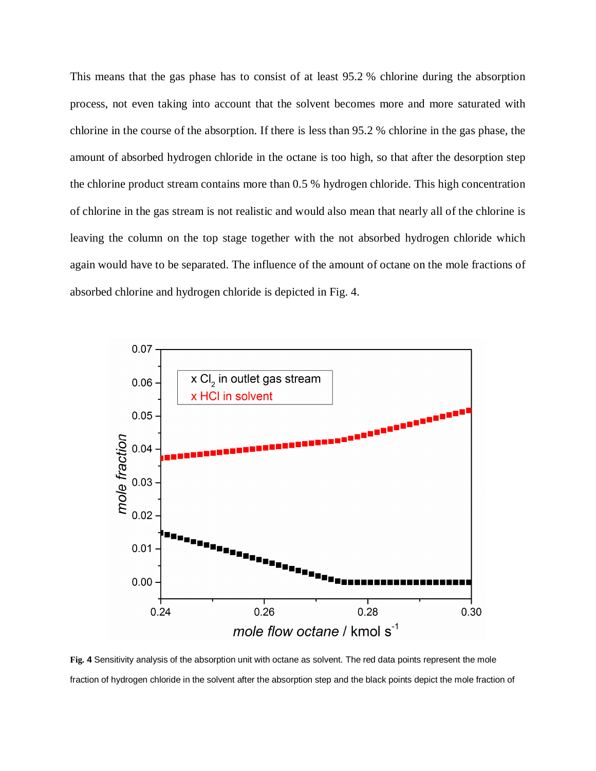This means that the gas phase has to consist of at least 95.2 % chlorine during the absorption process, not even taking into account that the solvent becomes more and more saturated with chlorine in the course of the absorption. If there is less than 95.2 % chlorine in the gas phase, the amount of absorbed hydrogen chloride in the octane is too high, so that after the desorption step the chlorine product stream contains more than 0.5 % hydrogen chloride. This high concentration of chlorine in the gas stream is not realistic and would also mean that nearly all of the chlorine is leaving the column on the top stage together with the not absorbed hydrogen chloride which again would have to be separated. The influence of the amount of octane on the mole fractions of absorbed chlorine and hydrogen chloride is depicted in Fig. 4.



**Fig. 4** Sensitivity analysis of the absorption unit with octane as solvent. The red data points represent the mole fraction of hydrogen chloride in the solvent after the absorption step and the black points depict the mole fraction of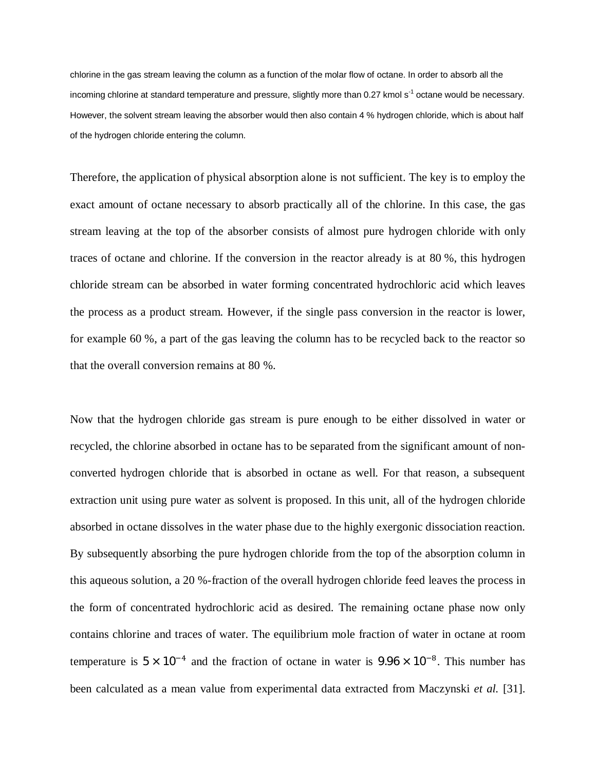chlorine in the gas stream leaving the column as a function of the molar flow of octane. In order to absorb all the incoming chlorine at standard temperature and pressure, slightly more than 0.27 kmol s<sup>-1</sup> octane would be necessary. However, the solvent stream leaving the absorber would then also contain 4 % hydrogen chloride, which is about half of the hydrogen chloride entering the column.

Therefore, the application of physical absorption alone is not sufficient. The key is to employ the exact amount of octane necessary to absorb practically all of the chlorine. In this case, the gas stream leaving at the top of the absorber consists of almost pure hydrogen chloride with only traces of octane and chlorine. If the conversion in the reactor already is at 80 %, this hydrogen chloride stream can be absorbed in water forming concentrated hydrochloric acid which leaves the process as a product stream. However, if the single pass conversion in the reactor is lower, for example 60 %, a part of the gas leaving the column has to be recycled back to the reactor so that the overall conversion remains at 80 %.

Now that the hydrogen chloride gas stream is pure enough to be either dissolved in water or recycled, the chlorine absorbed in octane has to be separated from the significant amount of nonconverted hydrogen chloride that is absorbed in octane as well. For that reason, a subsequent extraction unit using pure water as solvent is proposed. In this unit, all of the hydrogen chloride absorbed in octane dissolves in the water phase due to the highly exergonic dissociation reaction. By subsequently absorbing the pure hydrogen chloride from the top of the absorption column in this aqueous solution, a 20 %-fraction of the overall hydrogen chloride feed leaves the process in the form of concentrated hydrochloric acid as desired. The remaining octane phase now only contains chlorine and traces of water. The equilibrium mole fraction of water in octane at room temperature is  $5 \times 10^{-4}$  and the fraction of octane in water is  $9.96 \times 10^{-8}$ . This number has been calculated as a mean value from experimental data extracted from Maczynski *et al.* [31].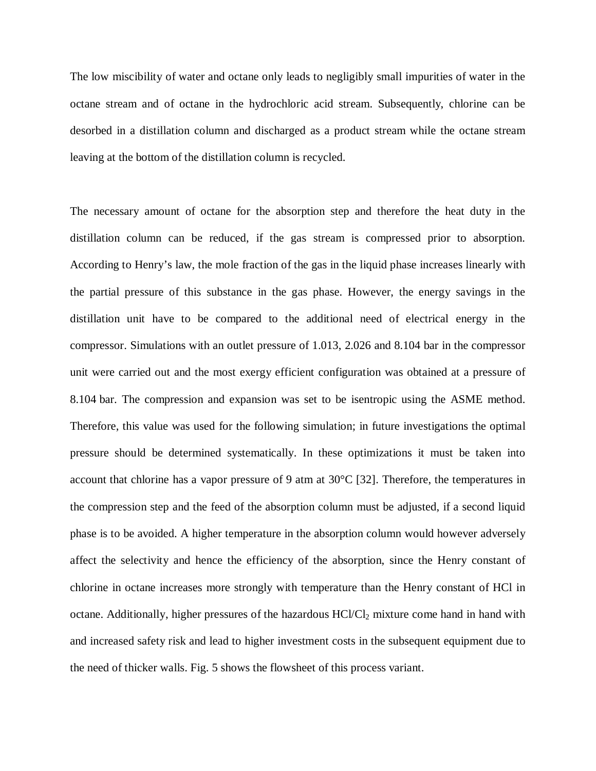The low miscibility of water and octane only leads to negligibly small impurities of water in the octane stream and of octane in the hydrochloric acid stream. Subsequently, chlorine can be desorbed in a distillation column and discharged as a product stream while the octane stream leaving at the bottom of the distillation column is recycled.

The necessary amount of octane for the absorption step and therefore the heat duty in the distillation column can be reduced, if the gas stream is compressed prior to absorption. According to Henry's law, the mole fraction of the gas in the liquid phase increases linearly with the partial pressure of this substance in the gas phase. However, the energy savings in the distillation unit have to be compared to the additional need of electrical energy in the compressor. Simulations with an outlet pressure of 1.013, 2.026 and 8.104 bar in the compressor unit were carried out and the most exergy efficient configuration was obtained at a pressure of 8.104 bar. The compression and expansion was set to be isentropic using the ASME method. Therefore, this value was used for the following simulation; in future investigations the optimal pressure should be determined systematically. In these optimizations it must be taken into account that chlorine has a vapor pressure of 9 atm at 30°C [32]. Therefore, the temperatures in the compression step and the feed of the absorption column must be adjusted, if a second liquid phase is to be avoided. A higher temperature in the absorption column would however adversely affect the selectivity and hence the efficiency of the absorption, since the Henry constant of chlorine in octane increases more strongly with temperature than the Henry constant of HCl in octane. Additionally, higher pressures of the hazardous  $HC/Cl<sub>2</sub>$  mixture come hand in hand with and increased safety risk and lead to higher investment costs in the subsequent equipment due to the need of thicker walls. Fig. 5 shows the flowsheet of this process variant.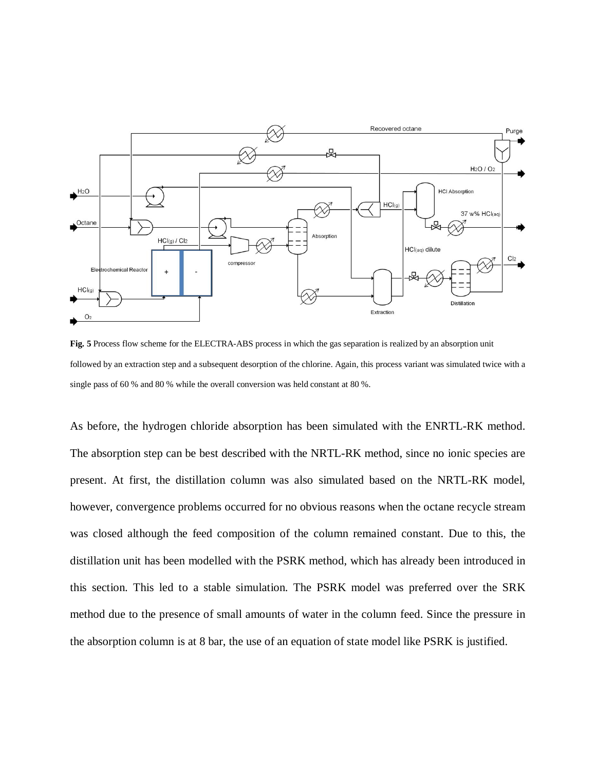

**Fig. 5** Process flow scheme for the ELECTRA-ABS process in which the gas separation is realized by an absorption unit followed by an extraction step and a subsequent desorption of the chlorine. Again, this process variant was simulated twice with a single pass of 60 % and 80 % while the overall conversion was held constant at 80 %.

As before, the hydrogen chloride absorption has been simulated with the ENRTL-RK method. The absorption step can be best described with the NRTL-RK method, since no ionic species are present. At first, the distillation column was also simulated based on the NRTL-RK model, however, convergence problems occurred for no obvious reasons when the octane recycle stream was closed although the feed composition of the column remained constant. Due to this, the distillation unit has been modelled with the PSRK method, which has already been introduced in this section. This led to a stable simulation. The PSRK model was preferred over the SRK method due to the presence of small amounts of water in the column feed. Since the pressure in the absorption column is at 8 bar, the use of an equation of state model like PSRK is justified.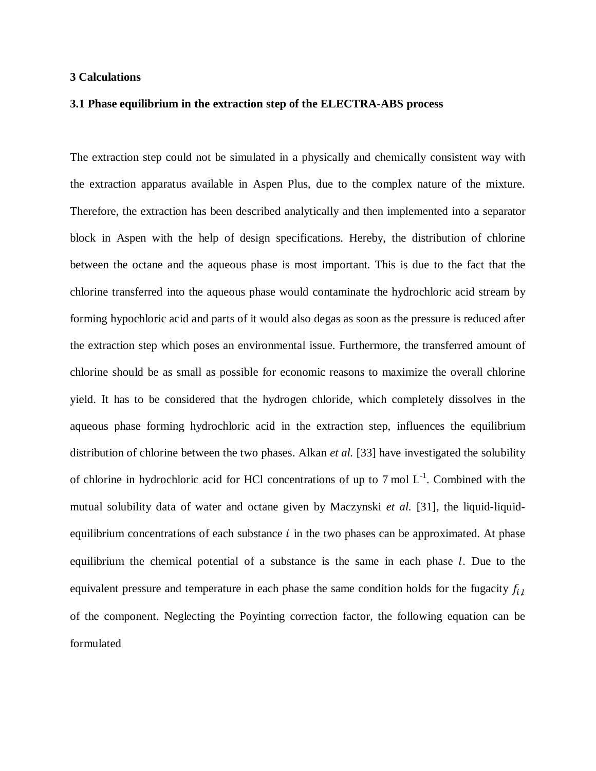#### **3 Calculations**

#### **3.1 Phase equilibrium in the extraction step of the ELECTRA-ABS process**

The extraction step could not be simulated in a physically and chemically consistent way with the extraction apparatus available in Aspen Plus, due to the complex nature of the mixture. Therefore, the extraction has been described analytically and then implemented into a separator block in Aspen with the help of design specifications. Hereby, the distribution of chlorine between the octane and the aqueous phase is most important. This is due to the fact that the chlorine transferred into the aqueous phase would contaminate the hydrochloric acid stream by forming hypochloric acid and parts of it would also degas as soon as the pressure is reduced after the extraction step which poses an environmental issue. Furthermore, the transferred amount of chlorine should be as small as possible for economic reasons to maximize the overall chlorine yield. It has to be considered that the hydrogen chloride, which completely dissolves in the aqueous phase forming hydrochloric acid in the extraction step, influences the equilibrium distribution of chlorine between the two phases. Alkan *et al.* [33] have investigated the solubility of chlorine in hydrochloric acid for HCl concentrations of up to 7 mol  $L^{-1}$ . Combined with the mutual solubility data of water and octane given by Maczynski *et al.* [31], the liquid-liquidequilibrium concentrations of each substance  $i$  in the two phases can be approximated. At phase equilibrium the chemical potential of a substance is the same in each phase  $l$ . Due to the equivalent pressure and temperature in each phase the same condition holds for the fugacity  $f_{i,l}$ of the component. Neglecting the Poyinting correction factor, the following equation can be formulated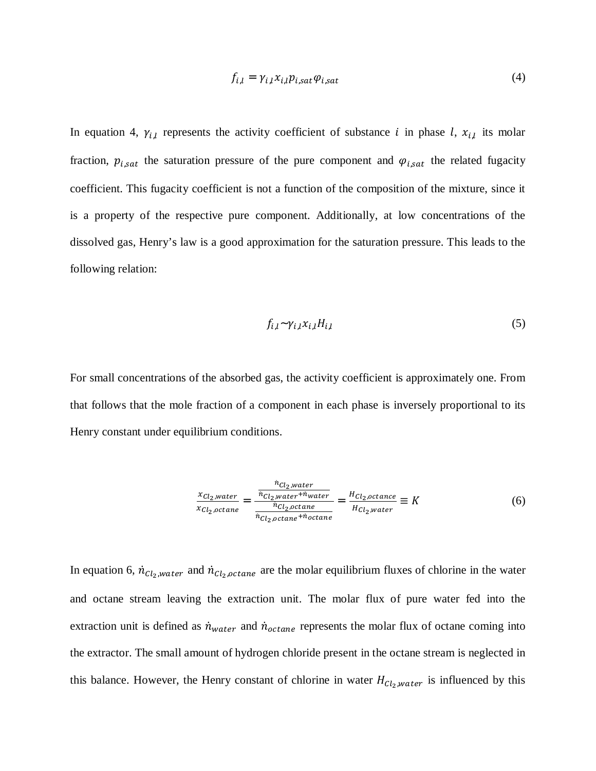$$
f_{i,l} = \gamma_{i,l} x_{i,l} p_{i,sat} \varphi_{i,sat} \tag{4}
$$

In equation 4,  $\gamma_{i,l}$  represents the activity coefficient of substance i in phase l,  $x_{i,l}$  its molar fraction,  $p_{i, sat}$  the saturation pressure of the pure component and  $\varphi_{i, sat}$  the related fugacity coefficient. This fugacity coefficient is not a function of the composition of the mixture, since it is a property of the respective pure component. Additionally, at low concentrations of the dissolved gas, Henry's law is a good approximation for the saturation pressure. This leads to the following relation:

$$
f_{i,l} \sim \gamma_{i,l} x_{i,l} H_{i,l} \tag{5}
$$

For small concentrations of the absorbed gas, the activity coefficient is approximately one. From that follows that the mole fraction of a component in each phase is inversely proportional to its Henry constant under equilibrium conditions.

$$
\frac{x_{Cl_2,water}}{x_{Cl_2,octane}} = \frac{\frac{\dot{n}_{Cl_2,water}}{\dot{n}_{Cl_2,octane} + \dot{n}_{water}}}{\frac{\dot{n}_{Cl_2,octane}}{\dot{n}_{Cl_2, octane} + \dot{n}_{octane}}} = \frac{H_{Cl_2,octance}}{H_{Cl_2, water}} \equiv K
$$
(6)

In equation 6,  $\dot{n}_{Cl_2, water}$  and  $\dot{n}_{Cl_2, octane}$  are the molar equilibrium fluxes of chlorine in the water and octane stream leaving the extraction unit. The molar flux of pure water fed into the extraction unit is defined as  $\dot{n}_{water}$  and  $\dot{n}_{octane}$  represents the molar flux of octane coming into the extractor. The small amount of hydrogen chloride present in the octane stream is neglected in this balance. However, the Henry constant of chlorine in water  $H_{Cl_2, water}$  is influenced by this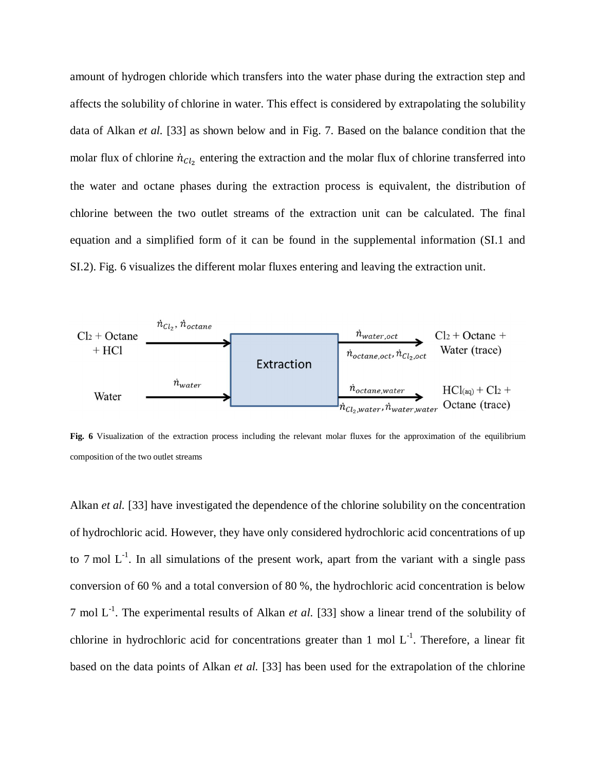amount of hydrogen chloride which transfers into the water phase during the extraction step and affects the solubility of chlorine in water. This effect is considered by extrapolating the solubility data of Alkan *et al.* [33] as shown below and in Fig. 7. Based on the balance condition that the molar flux of chlorine  $\dot{n}_{Cl_2}$  entering the extraction and the molar flux of chlorine transferred into the water and octane phases during the extraction process is equivalent, the distribution of chlorine between the two outlet streams of the extraction unit can be calculated. The final equation and a simplified form of it can be found in the supplemental information (SI.1 and SI.2). Fig. 6 visualizes the different molar fluxes entering and leaving the extraction unit.



**Fig. 6** Visualization of the extraction process including the relevant molar fluxes for the approximation of the equilibrium composition of the two outlet streams

Alkan *et al.* [33] have investigated the dependence of the chlorine solubility on the concentration of hydrochloric acid. However, they have only considered hydrochloric acid concentrations of up to 7 mol  $L^{-1}$ . In all simulations of the present work, apart from the variant with a single pass conversion of 60 % and a total conversion of 80 %, the hydrochloric acid concentration is below 7 mol  $L^{-1}$ . The experimental results of Alkan *et al.* [33] show a linear trend of the solubility of chlorine in hydrochloric acid for concentrations greater than 1 mol  $L^{-1}$ . Therefore, a linear fit based on the data points of Alkan *et al.* [33] has been used for the extrapolation of the chlorine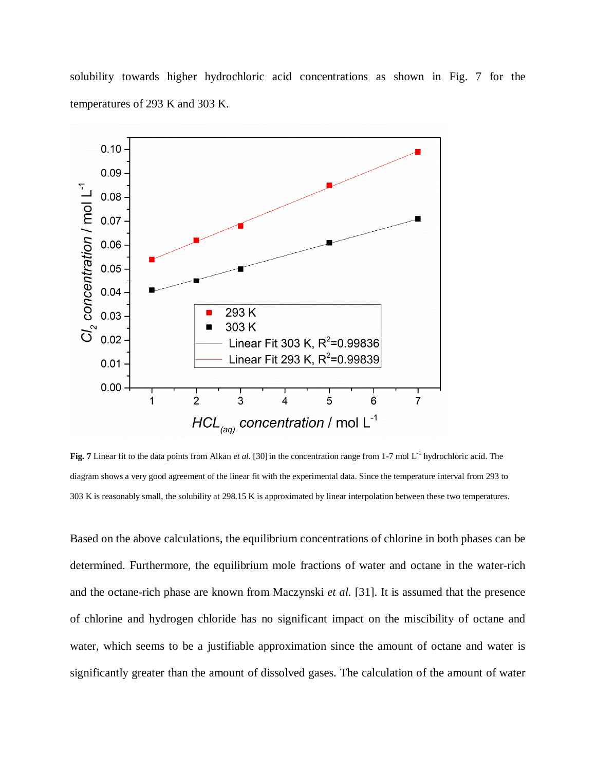solubility towards higher hydrochloric acid concentrations as shown in Fig. 7 for the temperatures of 293 K and 303 K.



**Fig. 7** Linear fit to the data points from Alkan *et al.* [30] in the concentration range from 1-7 mol L<sup>-1</sup> hydrochloric acid. The diagram shows a very good agreement of the linear fit with the experimental data. Since the temperature interval from 293 to 303 K is reasonably small, the solubility at 298.15 K is approximated by linear interpolation between these two temperatures.

Based on the above calculations, the equilibrium concentrations of chlorine in both phases can be determined. Furthermore, the equilibrium mole fractions of water and octane in the water-rich and the octane-rich phase are known from Maczynski *et al.* [31]. It is assumed that the presence of chlorine and hydrogen chloride has no significant impact on the miscibility of octane and water, which seems to be a justifiable approximation since the amount of octane and water is significantly greater than the amount of dissolved gases. The calculation of the amount of water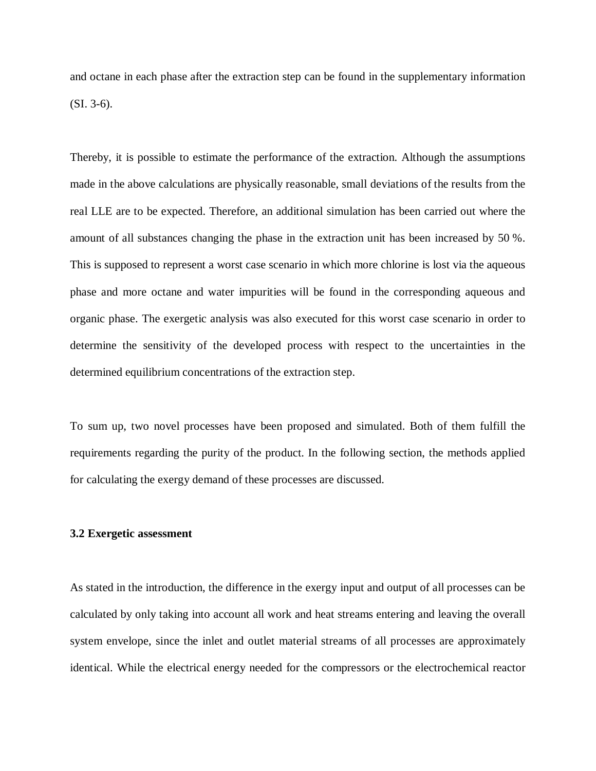and octane in each phase after the extraction step can be found in the supplementary information (SI. 3-6).

Thereby, it is possible to estimate the performance of the extraction. Although the assumptions made in the above calculations are physically reasonable, small deviations of the results from the real LLE are to be expected. Therefore, an additional simulation has been carried out where the amount of all substances changing the phase in the extraction unit has been increased by 50 %. This is supposed to represent a worst case scenario in which more chlorine is lost via the aqueous phase and more octane and water impurities will be found in the corresponding aqueous and organic phase. The exergetic analysis was also executed for this worst case scenario in order to determine the sensitivity of the developed process with respect to the uncertainties in the determined equilibrium concentrations of the extraction step.

To sum up, two novel processes have been proposed and simulated. Both of them fulfill the requirements regarding the purity of the product. In the following section, the methods applied for calculating the exergy demand of these processes are discussed.

# **3.2 Exergetic assessment**

As stated in the introduction, the difference in the exergy input and output of all processes can be calculated by only taking into account all work and heat streams entering and leaving the overall system envelope, since the inlet and outlet material streams of all processes are approximately identical. While the electrical energy needed for the compressors or the electrochemical reactor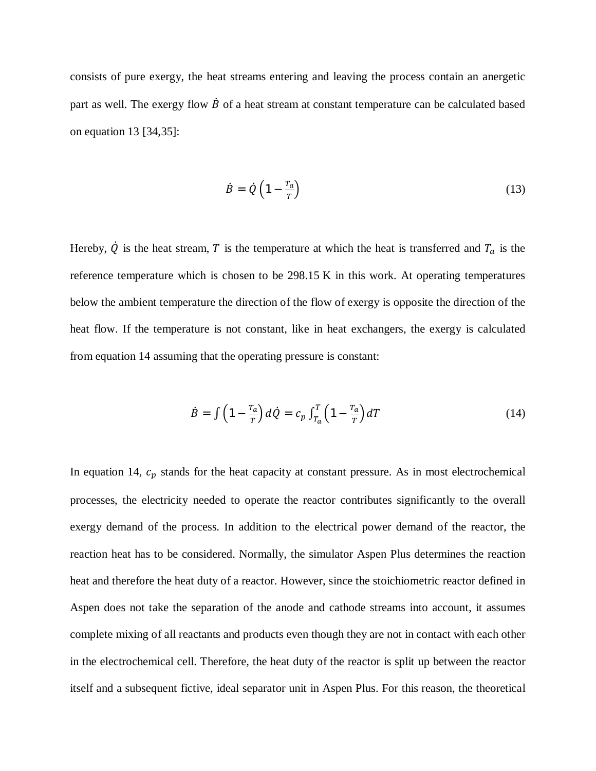consists of pure exergy, the heat streams entering and leaving the process contain an anergetic part as well. The exergy flow  $\dot{B}$  of a heat stream at constant temperature can be calculated based on equation 13 [34,35]:

$$
\dot{B} = \dot{Q} \left( 1 - \frac{T_a}{T} \right) \tag{13}
$$

Hereby,  $\dot{Q}$  is the heat stream, T is the temperature at which the heat is transferred and  $T_a$  is the reference temperature which is chosen to be 298.15 K in this work. At operating temperatures below the ambient temperature the direction of the flow of exergy is opposite the direction of the heat flow. If the temperature is not constant, like in heat exchangers, the exergy is calculated from equation 14 assuming that the operating pressure is constant:

$$
\dot{B} = \int \left(1 - \frac{r_a}{r}\right) d\dot{Q} = c_p \int_{T_a}^{T} \left(1 - \frac{r_a}{r}\right) dT \tag{14}
$$

In equation 14,  $c_p$  stands for the heat capacity at constant pressure. As in most electrochemical processes, the electricity needed to operate the reactor contributes significantly to the overall exergy demand of the process. In addition to the electrical power demand of the reactor, the reaction heat has to be considered. Normally, the simulator Aspen Plus determines the reaction heat and therefore the heat duty of a reactor. However, since the stoichiometric reactor defined in Aspen does not take the separation of the anode and cathode streams into account, it assumes complete mixing of all reactants and products even though they are not in contact with each other in the electrochemical cell. Therefore, the heat duty of the reactor is split up between the reactor itself and a subsequent fictive, ideal separator unit in Aspen Plus. For this reason, the theoretical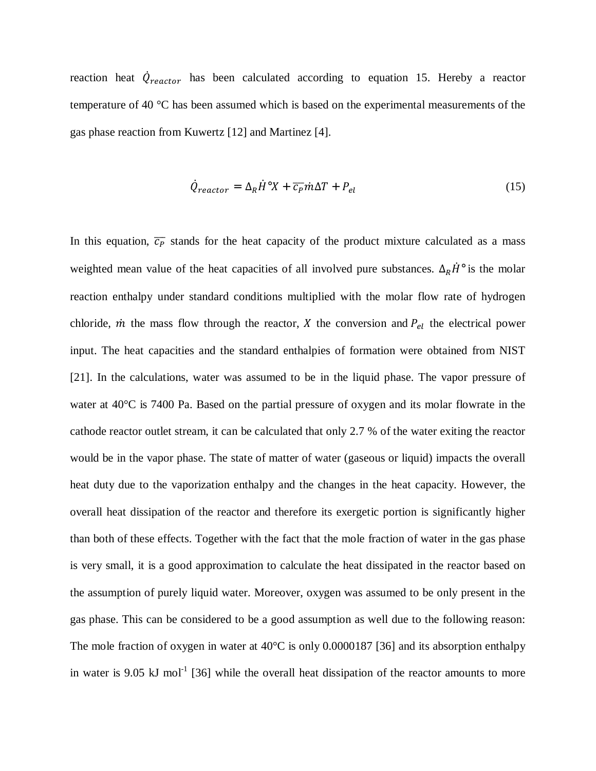reaction heat  $\dot{Q}_{reactor}$  has been calculated according to equation 15. Hereby a reactor temperature of 40 °C has been assumed which is based on the experimental measurements of the gas phase reaction from Kuwertz [12] and Martinez [4].

$$
\dot{Q}_{reactor} = \Delta_R \dot{H}^\circ X + \overline{c_P} \dot{m} \Delta T + P_{el} \tag{15}
$$

In this equation,  $\overline{c_P}$  stands for the heat capacity of the product mixture calculated as a mass weighted mean value of the heat capacities of all involved pure substances.  $\Delta_R \dot{H}$ ° is the molar reaction enthalpy under standard conditions multiplied with the molar flow rate of hydrogen chloride,  $\dot{m}$  the mass flow through the reactor,  $X$  the conversion and  $P_{el}$  the electrical power input. The heat capacities and the standard enthalpies of formation were obtained from NIST [21]. In the calculations, water was assumed to be in the liquid phase. The vapor pressure of water at 40°C is 7400 Pa. Based on the partial pressure of oxygen and its molar flowrate in the cathode reactor outlet stream, it can be calculated that only 2.7 % of the water exiting the reactor would be in the vapor phase. The state of matter of water (gaseous or liquid) impacts the overall heat duty due to the vaporization enthalpy and the changes in the heat capacity. However, the overall heat dissipation of the reactor and therefore its exergetic portion is significantly higher than both of these effects. Together with the fact that the mole fraction of water in the gas phase is very small, it is a good approximation to calculate the heat dissipated in the reactor based on the assumption of purely liquid water. Moreover, oxygen was assumed to be only present in the gas phase. This can be considered to be a good assumption as well due to the following reason: The mole fraction of oxygen in water at 40<sup>o</sup>C is only 0.0000187 [36] and its absorption enthalpy in water is 9.05 kJ mol<sup>-1</sup> [36] while the overall heat dissipation of the reactor amounts to more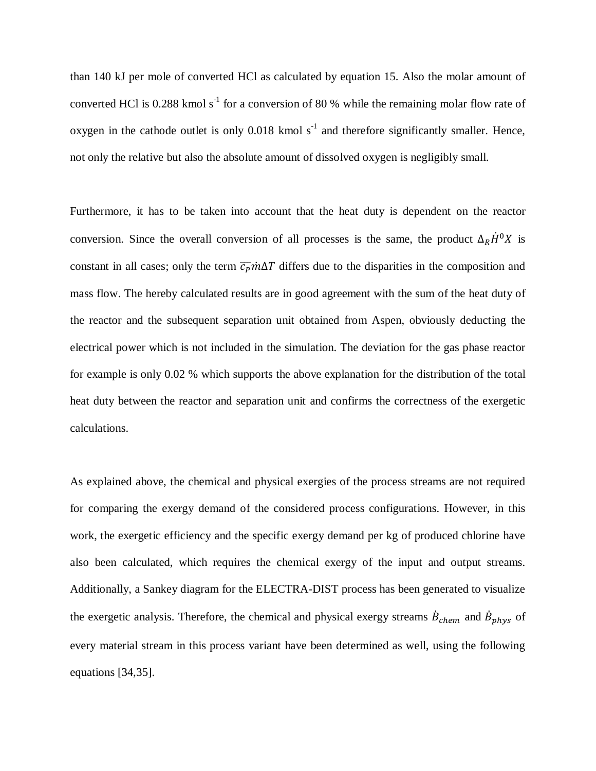than 140 kJ per mole of converted HCl as calculated by equation 15. Also the molar amount of converted HCl is 0.288 kmol  $s^{-1}$  for a conversion of 80 % while the remaining molar flow rate of oxygen in the cathode outlet is only  $0.018$  kmol s<sup>-1</sup> and therefore significantly smaller. Hence, not only the relative but also the absolute amount of dissolved oxygen is negligibly small.

Furthermore, it has to be taken into account that the heat duty is dependent on the reactor conversion. Since the overall conversion of all processes is the same, the product  $\Delta_R \dot{H}^0 X$  is constant in all cases; only the term  $\overline{c_p}m\Delta T$  differs due to the disparities in the composition and mass flow. The hereby calculated results are in good agreement with the sum of the heat duty of the reactor and the subsequent separation unit obtained from Aspen, obviously deducting the electrical power which is not included in the simulation. The deviation for the gas phase reactor for example is only 0.02 % which supports the above explanation for the distribution of the total heat duty between the reactor and separation unit and confirms the correctness of the exergetic calculations.

As explained above, the chemical and physical exergies of the process streams are not required for comparing the exergy demand of the considered process configurations. However, in this work, the exergetic efficiency and the specific exergy demand per kg of produced chlorine have also been calculated, which requires the chemical exergy of the input and output streams. Additionally, a Sankey diagram for the ELECTRA-DIST process has been generated to visualize the exergetic analysis. Therefore, the chemical and physical exergy streams  $\dot{B}_{chem}$  and  $\dot{B}_{phys}$  of every material stream in this process variant have been determined as well, using the following equations [34,35].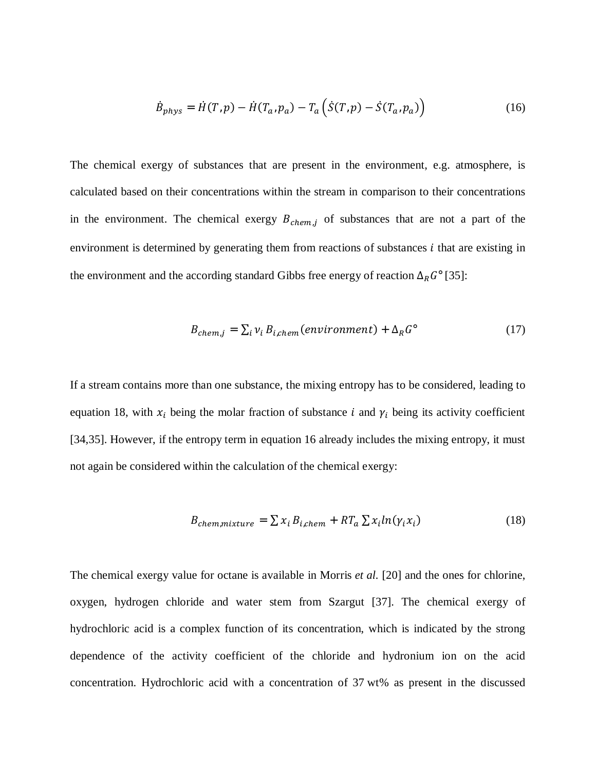$$
\dot{B}_{phys} = \dot{H}(T, p) - \dot{H}(T_a, p_a) - T_a \left( \dot{S}(T, p) - \dot{S}(T_a, p_a) \right)
$$
(16)

The chemical exergy of substances that are present in the environment, e.g. atmosphere, is calculated based on their concentrations within the stream in comparison to their concentrations in the environment. The chemical exergy  $B_{chem,j}$  of substances that are not a part of the environment is determined by generating them from reactions of substances  $i$  that are existing in the environment and the according standard Gibbs free energy of reaction  $\Delta_R G^{\circ}$  [35]:

$$
B_{chem,j} = \sum_{i} v_i B_{i,chem}(environment) + \Delta_R G^{\circ}
$$
 (17)

If a stream contains more than one substance, the mixing entropy has to be considered, leading to equation 18, with  $x_i$  being the molar fraction of substance i and  $\gamma_i$  being its activity coefficient [34,35]. However, if the entropy term in equation 16 already includes the mixing entropy, it must not again be considered within the calculation of the chemical exergy:

$$
B_{chem,mixture} = \sum x_i B_{i,chem} + RT_a \sum x_i ln(\gamma_i x_i)
$$
 (18)

The chemical exergy value for octane is available in Morris *et al.* [20] and the ones for chlorine, oxygen, hydrogen chloride and water stem from Szargut [37]. The chemical exergy of hydrochloric acid is a complex function of its concentration, which is indicated by the strong dependence of the activity coefficient of the chloride and hydronium ion on the acid concentration. Hydrochloric acid with a concentration of 37 wt% as present in the discussed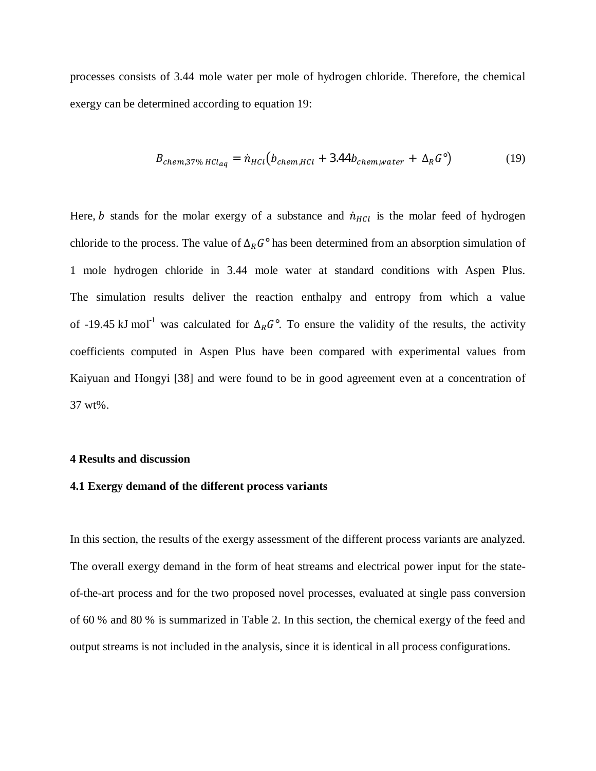processes consists of 3.44 mole water per mole of hydrogen chloride. Therefore, the chemical exergy can be determined according to equation 19:

$$
B_{chem,37\% HCl_{aq}} = \dot{n}_{HCl} \left( b_{chem, HCl} + 3.44 b_{chem, water} + \Delta_R G^{\circ} \right)
$$
 (19)

Here, b stands for the molar exergy of a substance and  $\dot{n}_{HCl}$  is the molar feed of hydrogen chloride to the process. The value of  $\Delta_R G^{\circ}$  has been determined from an absorption simulation of 1 mole hydrogen chloride in 3.44 mole water at standard conditions with Aspen Plus. The simulation results deliver the reaction enthalpy and entropy from which a value of -19.45 kJ mol<sup>-1</sup> was calculated for  $\Delta_R G^{\circ}$ . To ensure the validity of the results, the activity coefficients computed in Aspen Plus have been compared with experimental values from Kaiyuan and Hongyi [38] and were found to be in good agreement even at a concentration of 37 wt%.

#### **4 Results and discussion**

#### **4.1 Exergy demand of the different process variants**

In this section, the results of the exergy assessment of the different process variants are analyzed. The overall exergy demand in the form of heat streams and electrical power input for the stateof-the-art process and for the two proposed novel processes, evaluated at single pass conversion of 60 % and 80 % is summarized in Table 2. In this section, the chemical exergy of the feed and output streams is not included in the analysis, since it is identical in all process configurations.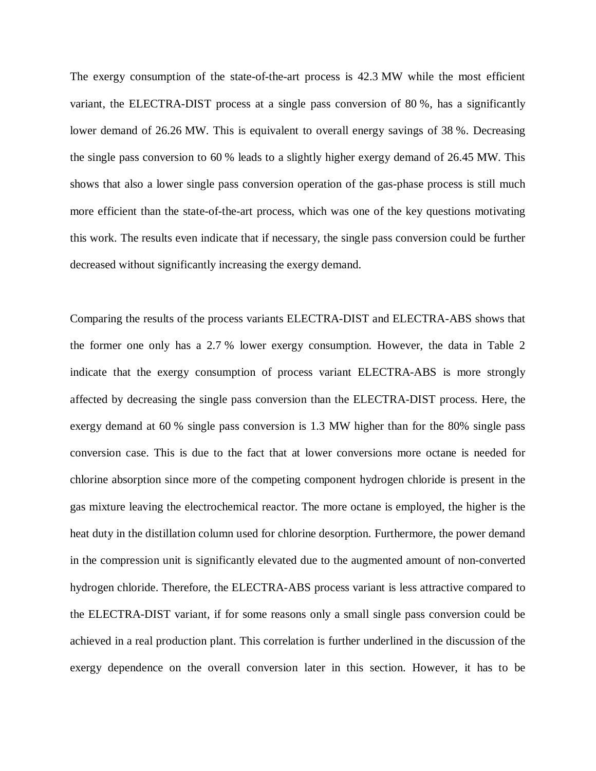The exergy consumption of the state-of-the-art process is 42.3 MW while the most efficient variant, the ELECTRA-DIST process at a single pass conversion of 80 %, has a significantly lower demand of 26.26 MW. This is equivalent to overall energy savings of 38 %. Decreasing the single pass conversion to 60 % leads to a slightly higher exergy demand of 26.45 MW. This shows that also a lower single pass conversion operation of the gas-phase process is still much more efficient than the state-of-the-art process, which was one of the key questions motivating this work. The results even indicate that if necessary, the single pass conversion could be further decreased without significantly increasing the exergy demand.

Comparing the results of the process variants ELECTRA-DIST and ELECTRA-ABS shows that the former one only has a 2.7 % lower exergy consumption. However, the data in Table 2 indicate that the exergy consumption of process variant ELECTRA-ABS is more strongly affected by decreasing the single pass conversion than the ELECTRA-DIST process. Here, the exergy demand at 60 % single pass conversion is 1.3 MW higher than for the 80% single pass conversion case. This is due to the fact that at lower conversions more octane is needed for chlorine absorption since more of the competing component hydrogen chloride is present in the gas mixture leaving the electrochemical reactor. The more octane is employed, the higher is the heat duty in the distillation column used for chlorine desorption. Furthermore, the power demand in the compression unit is significantly elevated due to the augmented amount of non-converted hydrogen chloride. Therefore, the ELECTRA-ABS process variant is less attractive compared to the ELECTRA-DIST variant, if for some reasons only a small single pass conversion could be achieved in a real production plant. This correlation is further underlined in the discussion of the exergy dependence on the overall conversion later in this section. However, it has to be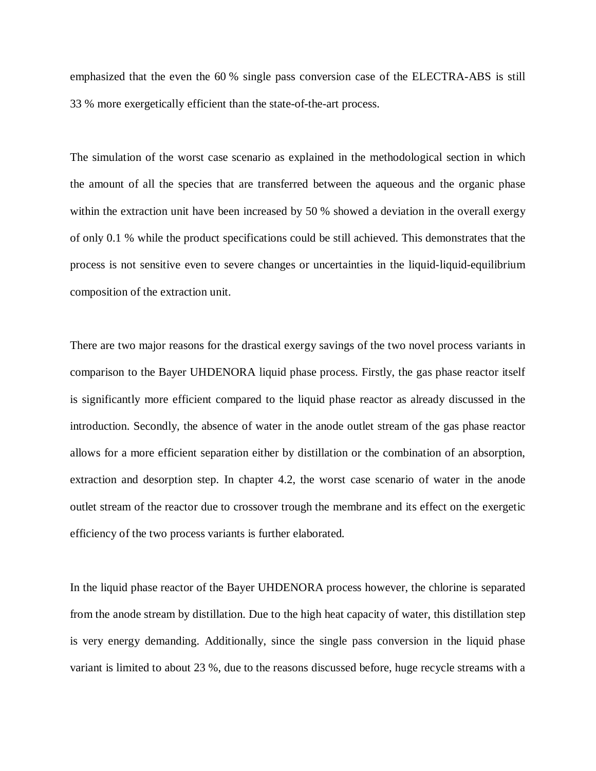emphasized that the even the 60 % single pass conversion case of the ELECTRA-ABS is still 33 % more exergetically efficient than the state-of-the-art process.

The simulation of the worst case scenario as explained in the methodological section in which the amount of all the species that are transferred between the aqueous and the organic phase within the extraction unit have been increased by 50 % showed a deviation in the overall exergy of only 0.1 % while the product specifications could be still achieved. This demonstrates that the process is not sensitive even to severe changes or uncertainties in the liquid-liquid-equilibrium composition of the extraction unit.

There are two major reasons for the drastical exergy savings of the two novel process variants in comparison to the Bayer UHDENORA liquid phase process. Firstly, the gas phase reactor itself is significantly more efficient compared to the liquid phase reactor as already discussed in the introduction. Secondly, the absence of water in the anode outlet stream of the gas phase reactor allows for a more efficient separation either by distillation or the combination of an absorption, extraction and desorption step. In chapter 4.2, the worst case scenario of water in the anode outlet stream of the reactor due to crossover trough the membrane and its effect on the exergetic efficiency of the two process variants is further elaborated.

In the liquid phase reactor of the Bayer UHDENORA process however, the chlorine is separated from the anode stream by distillation. Due to the high heat capacity of water, this distillation step is very energy demanding. Additionally, since the single pass conversion in the liquid phase variant is limited to about 23 %, due to the reasons discussed before, huge recycle streams with a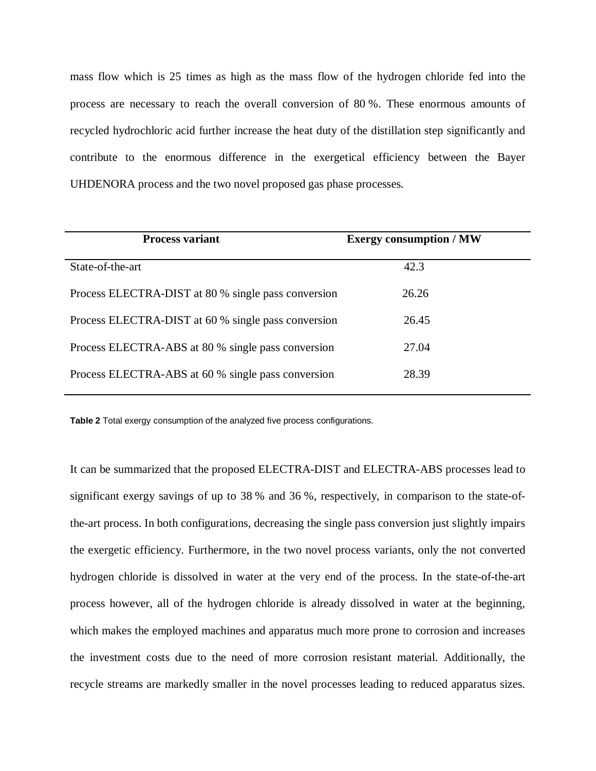mass flow which is 25 times as high as the mass flow of the hydrogen chloride fed into the process are necessary to reach the overall conversion of 80 %. These enormous amounts of recycled hydrochloric acid further increase the heat duty of the distillation step significantly and contribute to the enormous difference in the exergetical efficiency between the Bayer UHDENORA process and the two novel proposed gas phase processes.

| <b>Process variant</b>                              | <b>Exergy consumption / MW</b> |  |
|-----------------------------------------------------|--------------------------------|--|
| State-of-the-art                                    | 42.3                           |  |
| Process ELECTRA-DIST at 80 % single pass conversion | 26.26                          |  |
| Process ELECTRA-DIST at 60 % single pass conversion | 26.45                          |  |
| Process ELECTRA-ABS at 80 % single pass conversion  | 27.04                          |  |
| Process ELECTRA-ABS at 60 % single pass conversion  | 28.39                          |  |
|                                                     |                                |  |

**Table 2** Total exergy consumption of the analyzed five process configurations.

It can be summarized that the proposed ELECTRA-DIST and ELECTRA-ABS processes lead to significant exergy savings of up to 38 % and 36 %, respectively, in comparison to the state-ofthe-art process. In both configurations, decreasing the single pass conversion just slightly impairs the exergetic efficiency. Furthermore, in the two novel process variants, only the not converted hydrogen chloride is dissolved in water at the very end of the process. In the state-of-the-art process however, all of the hydrogen chloride is already dissolved in water at the beginning, which makes the employed machines and apparatus much more prone to corrosion and increases the investment costs due to the need of more corrosion resistant material. Additionally, the recycle streams are markedly smaller in the novel processes leading to reduced apparatus sizes.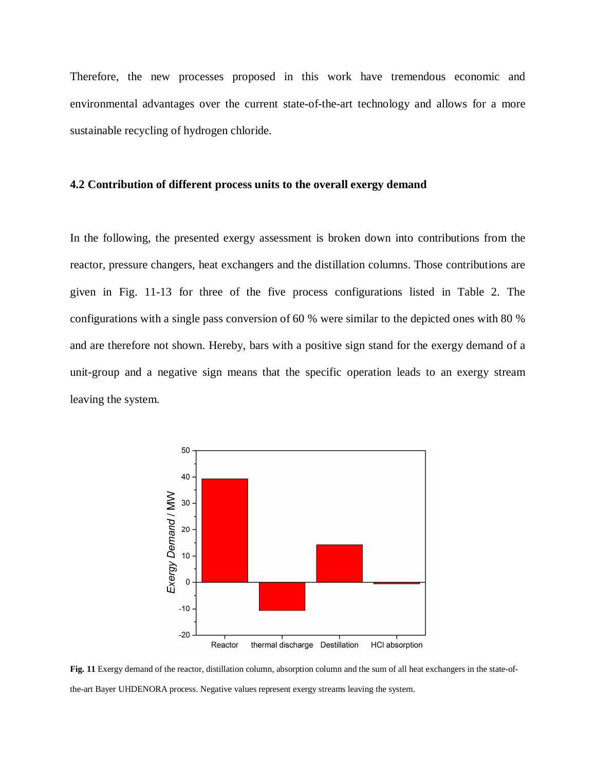Therefore, the new processes proposed in this work have tremendous economic and environmental advantages over the current state-of-the-art technology and allows for a more sustainable recycling of hydrogen chloride.

## **4.2 Contribution of different process units to the overall exergy demand**

In the following, the presented exergy assessment is broken down into contributions from the reactor, pressure changers, heat exchangers and the distillation columns. Those contributions are given in Fig. 11-13 for three of the five process configurations listed in Table 2. The configurations with a single pass conversion of 60 % were similar to the depicted ones with 80 % and are therefore not shown. Hereby, bars with a positive sign stand for the exergy demand of a unit-group and a negative sign means that the specific operation leads to an exergy stream leaving the system.



**Fig. 11** Exergy demand of the reactor, distillation column, absorption column and the sum of all heat exchangers in the state-ofthe-art Bayer UHDENORA process. Negative values represent exergy streams leaving the system.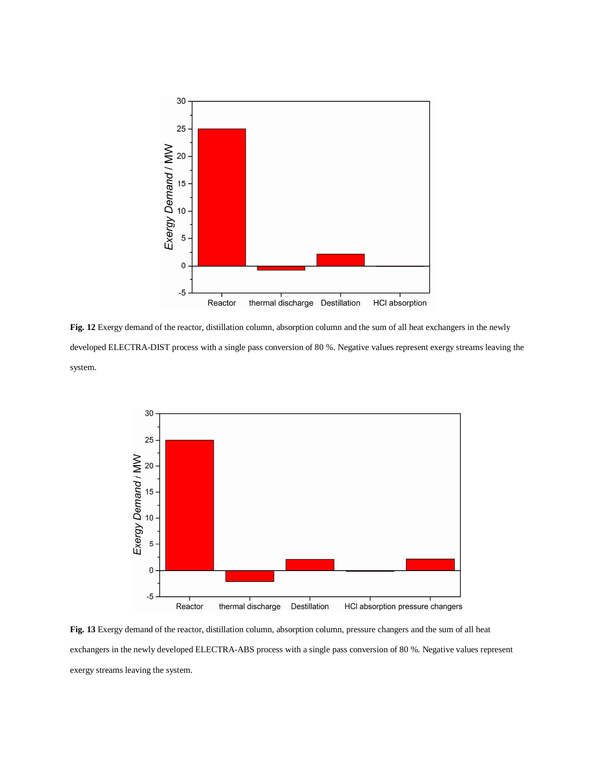

**Fig. 12** Exergy demand of the reactor, distillation column, absorption column and the sum of all heat exchangers in the newly developed ELECTRA-DIST process with a single pass conversion of 80 %. Negative values represent exergy streams leaving the system.



**Fig. 13** Exergy demand of the reactor, distillation column, absorption column, pressure changers and the sum of all heat exchangers in the newly developed ELECTRA-ABS process with a single pass conversion of 80 %. Negative values represent exergy streams leaving the system.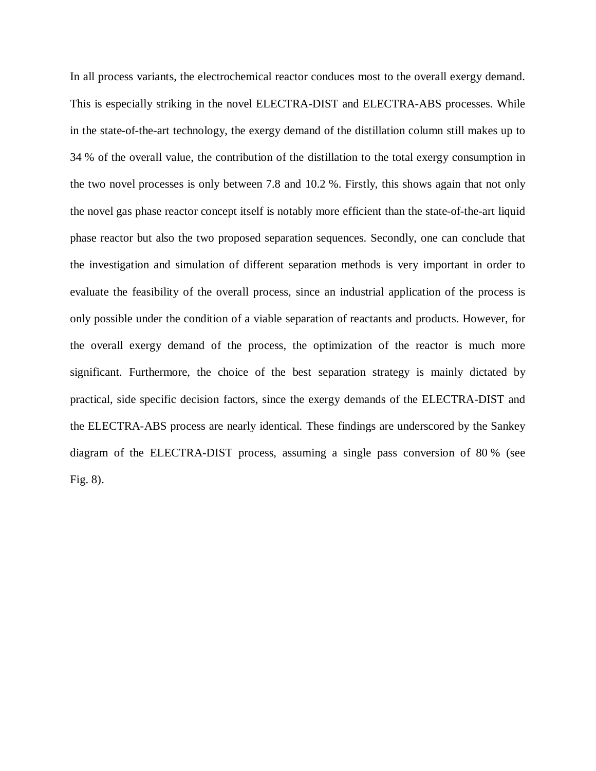In all process variants, the electrochemical reactor conduces most to the overall exergy demand. This is especially striking in the novel ELECTRA-DIST and ELECTRA-ABS processes. While in the state-of-the-art technology, the exergy demand of the distillation column still makes up to 34 % of the overall value, the contribution of the distillation to the total exergy consumption in the two novel processes is only between 7.8 and 10.2 %. Firstly, this shows again that not only the novel gas phase reactor concept itself is notably more efficient than the state-of-the-art liquid phase reactor but also the two proposed separation sequences. Secondly, one can conclude that the investigation and simulation of different separation methods is very important in order to evaluate the feasibility of the overall process, since an industrial application of the process is only possible under the condition of a viable separation of reactants and products. However, for the overall exergy demand of the process, the optimization of the reactor is much more significant. Furthermore, the choice of the best separation strategy is mainly dictated by practical, side specific decision factors, since the exergy demands of the ELECTRA-DIST and the ELECTRA-ABS process are nearly identical. These findings are underscored by the Sankey diagram of the ELECTRA-DIST process, assuming a single pass conversion of 80 % (see Fig. 8).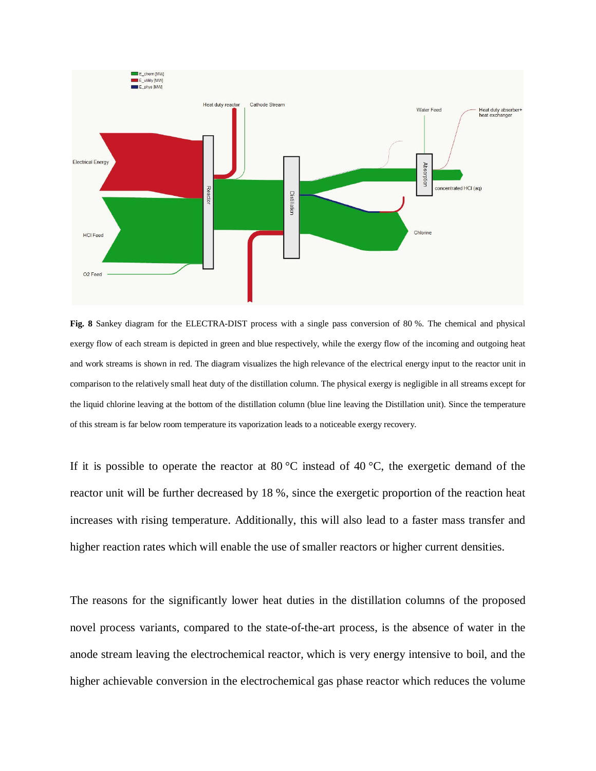

**Fig. 8** Sankey diagram for the ELECTRA-DIST process with a single pass conversion of 80 %. The chemical and physical exergy flow of each stream is depicted in green and blue respectively, while the exergy flow of the incoming and outgoing heat and work streams is shown in red. The diagram visualizes the high relevance of the electrical energy input to the reactor unit in comparison to the relatively small heat duty of the distillation column. The physical exergy is negligible in all streams except for the liquid chlorine leaving at the bottom of the distillation column (blue line leaving the Distillation unit). Since the temperature of this stream is far below room temperature its vaporization leads to a noticeable exergy recovery.

If it is possible to operate the reactor at 80 °C instead of 40 °C, the exergetic demand of the reactor unit will be further decreased by 18 %, since the exergetic proportion of the reaction heat increases with rising temperature. Additionally, this will also lead to a faster mass transfer and higher reaction rates which will enable the use of smaller reactors or higher current densities.

The reasons for the significantly lower heat duties in the distillation columns of the proposed novel process variants, compared to the state-of-the-art process, is the absence of water in the anode stream leaving the electrochemical reactor, which is very energy intensive to boil, and the higher achievable conversion in the electrochemical gas phase reactor which reduces the volume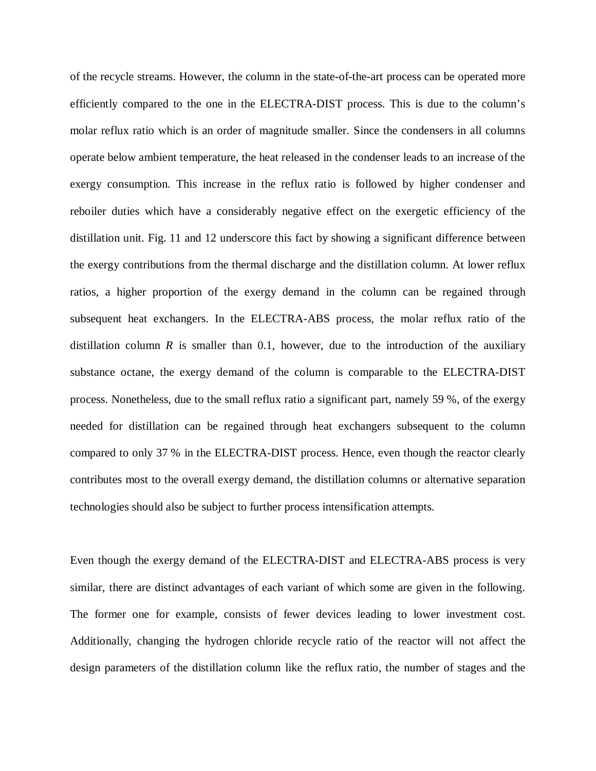of the recycle streams. However, the column in the state-of-the-art process can be operated more efficiently compared to the one in the ELECTRA-DIST process. This is due to the column's molar reflux ratio which is an order of magnitude smaller. Since the condensers in all columns operate below ambient temperature, the heat released in the condenser leads to an increase of the exergy consumption. This increase in the reflux ratio is followed by higher condenser and reboiler duties which have a considerably negative effect on the exergetic efficiency of the distillation unit. Fig. 11 and 12 underscore this fact by showing a significant difference between the exergy contributions from the thermal discharge and the distillation column. At lower reflux ratios, a higher proportion of the exergy demand in the column can be regained through subsequent heat exchangers. In the ELECTRA-ABS process, the molar reflux ratio of the distillation column  $R$  is smaller than 0.1, however, due to the introduction of the auxiliary substance octane, the exergy demand of the column is comparable to the ELECTRA-DIST process. Nonetheless, due to the small reflux ratio a significant part, namely 59 %, of the exergy needed for distillation can be regained through heat exchangers subsequent to the column compared to only 37 % in the ELECTRA-DIST process. Hence, even though the reactor clearly contributes most to the overall exergy demand, the distillation columns or alternative separation technologies should also be subject to further process intensification attempts.

Even though the exergy demand of the ELECTRA-DIST and ELECTRA-ABS process is very similar, there are distinct advantages of each variant of which some are given in the following. The former one for example, consists of fewer devices leading to lower investment cost. Additionally, changing the hydrogen chloride recycle ratio of the reactor will not affect the design parameters of the distillation column like the reflux ratio, the number of stages and the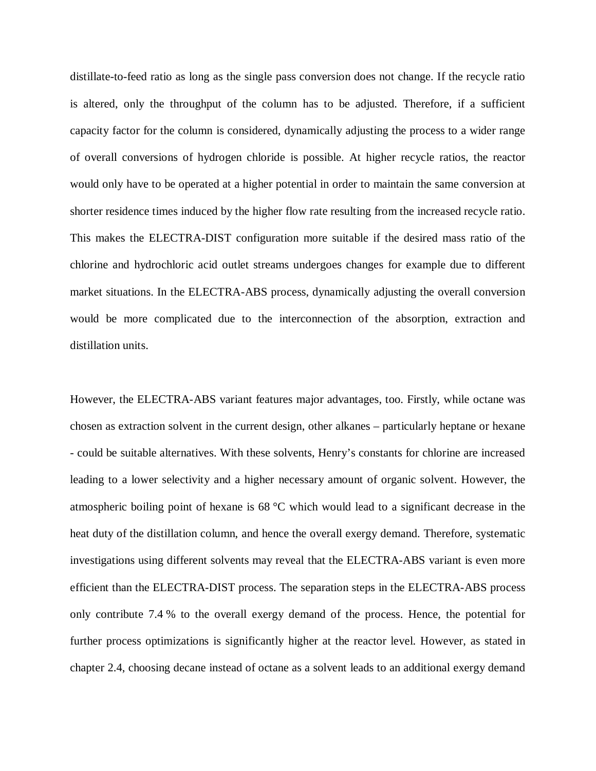distillate-to-feed ratio as long as the single pass conversion does not change. If the recycle ratio is altered, only the throughput of the column has to be adjusted. Therefore, if a sufficient capacity factor for the column is considered, dynamically adjusting the process to a wider range of overall conversions of hydrogen chloride is possible. At higher recycle ratios, the reactor would only have to be operated at a higher potential in order to maintain the same conversion at shorter residence times induced by the higher flow rate resulting from the increased recycle ratio. This makes the ELECTRA-DIST configuration more suitable if the desired mass ratio of the chlorine and hydrochloric acid outlet streams undergoes changes for example due to different market situations. In the ELECTRA-ABS process, dynamically adjusting the overall conversion would be more complicated due to the interconnection of the absorption, extraction and distillation units.

However, the ELECTRA-ABS variant features major advantages, too. Firstly, while octane was chosen as extraction solvent in the current design, other alkanes – particularly heptane or hexane - could be suitable alternatives. With these solvents, Henry's constants for chlorine are increased leading to a lower selectivity and a higher necessary amount of organic solvent. However, the atmospheric boiling point of hexane is 68 °C which would lead to a significant decrease in the heat duty of the distillation column, and hence the overall exergy demand. Therefore, systematic investigations using different solvents may reveal that the ELECTRA-ABS variant is even more efficient than the ELECTRA-DIST process. The separation steps in the ELECTRA-ABS process only contribute 7.4 % to the overall exergy demand of the process. Hence, the potential for further process optimizations is significantly higher at the reactor level. However, as stated in chapter 2.4, choosing decane instead of octane as a solvent leads to an additional exergy demand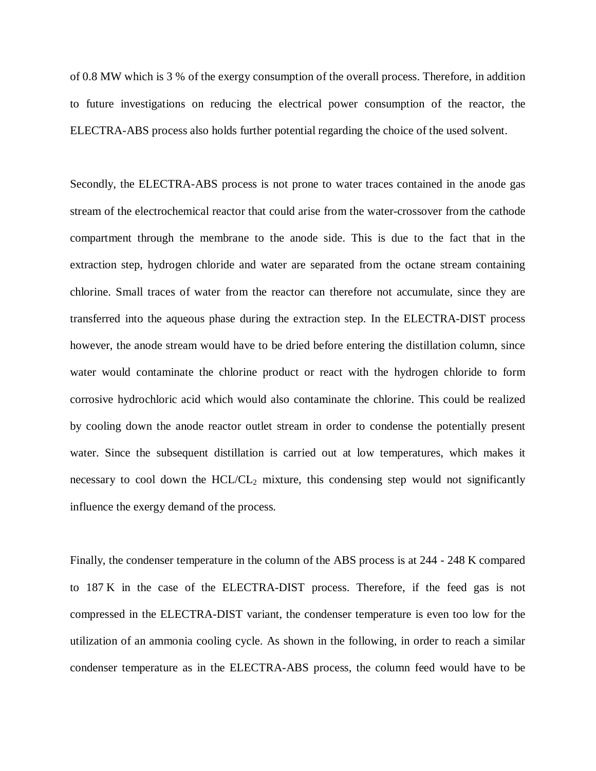of 0.8 MW which is 3 % of the exergy consumption of the overall process. Therefore, in addition to future investigations on reducing the electrical power consumption of the reactor, the ELECTRA-ABS process also holds further potential regarding the choice of the used solvent.

Secondly, the ELECTRA-ABS process is not prone to water traces contained in the anode gas stream of the electrochemical reactor that could arise from the water-crossover from the cathode compartment through the membrane to the anode side. This is due to the fact that in the extraction step, hydrogen chloride and water are separated from the octane stream containing chlorine. Small traces of water from the reactor can therefore not accumulate, since they are transferred into the aqueous phase during the extraction step. In the ELECTRA-DIST process however, the anode stream would have to be dried before entering the distillation column, since water would contaminate the chlorine product or react with the hydrogen chloride to form corrosive hydrochloric acid which would also contaminate the chlorine. This could be realized by cooling down the anode reactor outlet stream in order to condense the potentially present water. Since the subsequent distillation is carried out at low temperatures, which makes it necessary to cool down the  $HCL/CL<sub>2</sub>$  mixture, this condensing step would not significantly influence the exergy demand of the process.

Finally, the condenser temperature in the column of the ABS process is at 244 - 248 K compared to 187 K in the case of the ELECTRA-DIST process. Therefore, if the feed gas is not compressed in the ELECTRA-DIST variant, the condenser temperature is even too low for the utilization of an ammonia cooling cycle. As shown in the following, in order to reach a similar condenser temperature as in the ELECTRA-ABS process, the column feed would have to be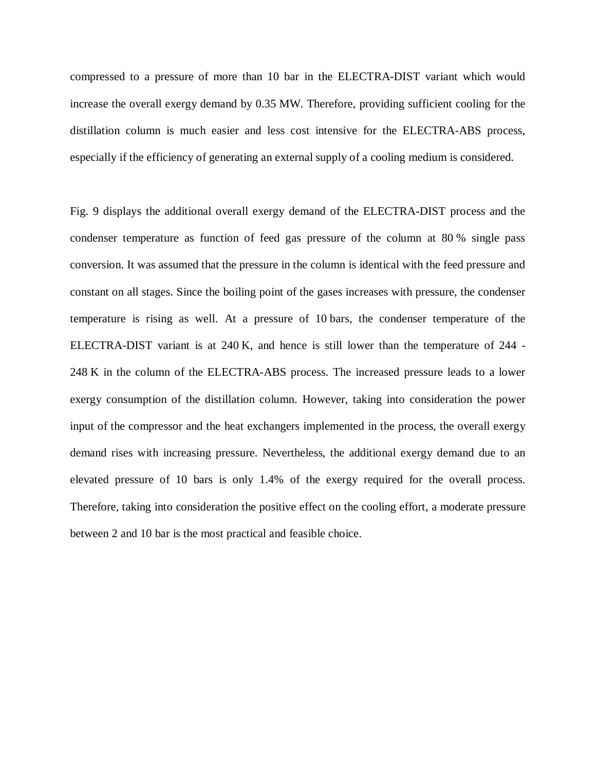compressed to a pressure of more than 10 bar in the ELECTRA-DIST variant which would increase the overall exergy demand by 0.35 MW. Therefore, providing sufficient cooling for the distillation column is much easier and less cost intensive for the ELECTRA-ABS process, especially if the efficiency of generating an external supply of a cooling medium is considered.

Fig. 9 displays the additional overall exergy demand of the ELECTRA-DIST process and the condenser temperature as function of feed gas pressure of the column at 80 % single pass conversion. It was assumed that the pressure in the column is identical with the feed pressure and constant on all stages. Since the boiling point of the gases increases with pressure, the condenser temperature is rising as well. At a pressure of 10 bars, the condenser temperature of the ELECTRA-DIST variant is at 240 K, and hence is still lower than the temperature of 244 - 248 K in the column of the ELECTRA-ABS process. The increased pressure leads to a lower exergy consumption of the distillation column. However, taking into consideration the power input of the compressor and the heat exchangers implemented in the process, the overall exergy demand rises with increasing pressure. Nevertheless, the additional exergy demand due to an elevated pressure of 10 bars is only 1.4% of the exergy required for the overall process. Therefore, taking into consideration the positive effect on the cooling effort, a moderate pressure between 2 and 10 bar is the most practical and feasible choice.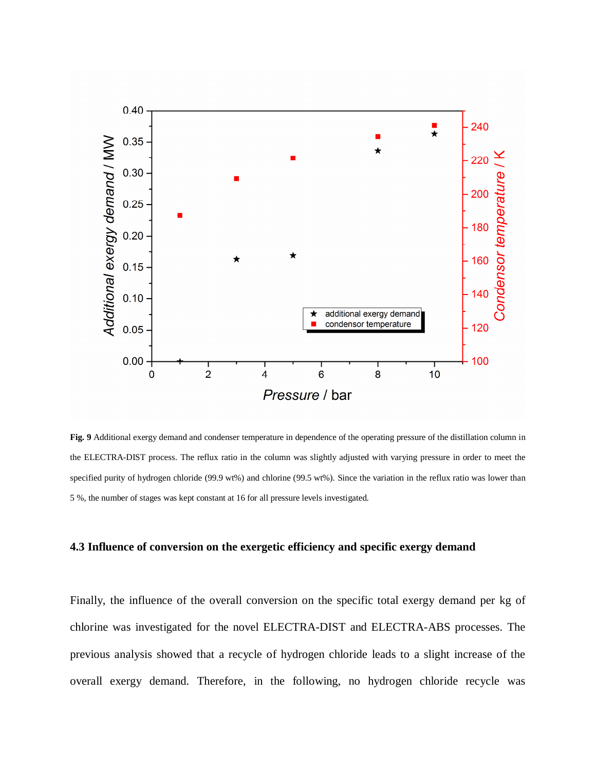

**Fig. 9** Additional exergy demand and condenser temperature in dependence of the operating pressure of the distillation column in the ELECTRA-DIST process. The reflux ratio in the column was slightly adjusted with varying pressure in order to meet the specified purity of hydrogen chloride (99.9 wt%) and chlorine (99.5 wt%). Since the variation in the reflux ratio was lower than 5 %, the number of stages was kept constant at 16 for all pressure levels investigated.

# **4.3 Influence of conversion on the exergetic efficiency and specific exergy demand**

Finally, the influence of the overall conversion on the specific total exergy demand per kg of chlorine was investigated for the novel ELECTRA-DIST and ELECTRA-ABS processes. The previous analysis showed that a recycle of hydrogen chloride leads to a slight increase of the overall exergy demand. Therefore, in the following, no hydrogen chloride recycle was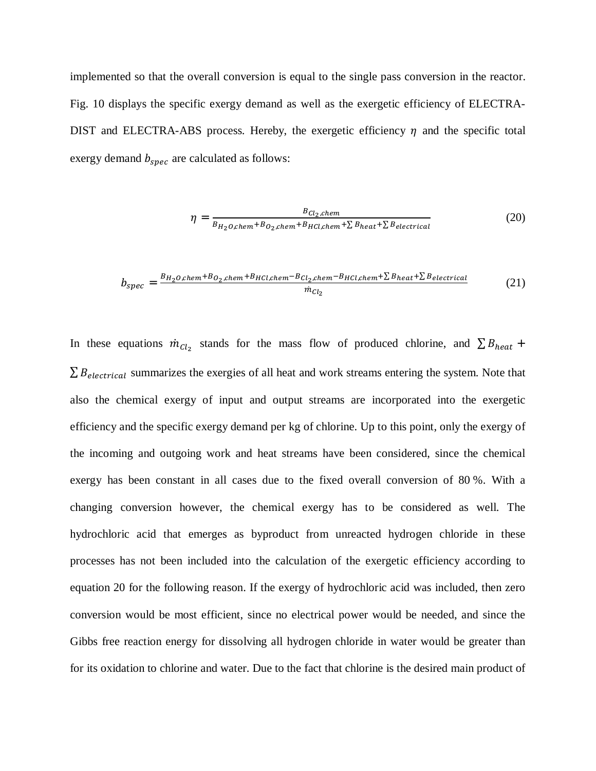implemented so that the overall conversion is equal to the single pass conversion in the reactor. Fig. 10 displays the specific exergy demand as well as the exergetic efficiency of ELECTRA-DIST and ELECTRA-ABS process. Hereby, the exergetic efficiency  $\eta$  and the specific total exergy demand  $b_{\text{spec}}$  are calculated as follows:

$$
\eta = \frac{B_{Cl_2,chem}}{B_{H_2O,chem} + B_{O_2,chem} + B_{HCl,chem} + \sum B_{heat} + \sum B_{electrical}} \tag{20}
$$

$$
b_{spec} = \frac{B_{H_2O,chem} + B_{O_2,chem} + B_{HCl,chem} - B_{Cl_2,chem} - B_{HCl,chem} + \sum B_{heat} + \sum B_{electrical}}{m_{Cl_2}}
$$
(21)

In these equations  $\dot{m}_{Cl_2}$  stands for the mass flow of produced chlorine, and  $\sum B_{heat}$  +  $\sum B_{electrical}$  summarizes the exergies of all heat and work streams entering the system. Note that also the chemical exergy of input and output streams are incorporated into the exergetic efficiency and the specific exergy demand per kg of chlorine. Up to this point, only the exergy of the incoming and outgoing work and heat streams have been considered, since the chemical exergy has been constant in all cases due to the fixed overall conversion of 80 %. With a changing conversion however, the chemical exergy has to be considered as well. The hydrochloric acid that emerges as byproduct from unreacted hydrogen chloride in these processes has not been included into the calculation of the exergetic efficiency according to equation 20 for the following reason. If the exergy of hydrochloric acid was included, then zero conversion would be most efficient, since no electrical power would be needed, and since the Gibbs free reaction energy for dissolving all hydrogen chloride in water would be greater than for its oxidation to chlorine and water. Due to the fact that chlorine is the desired main product of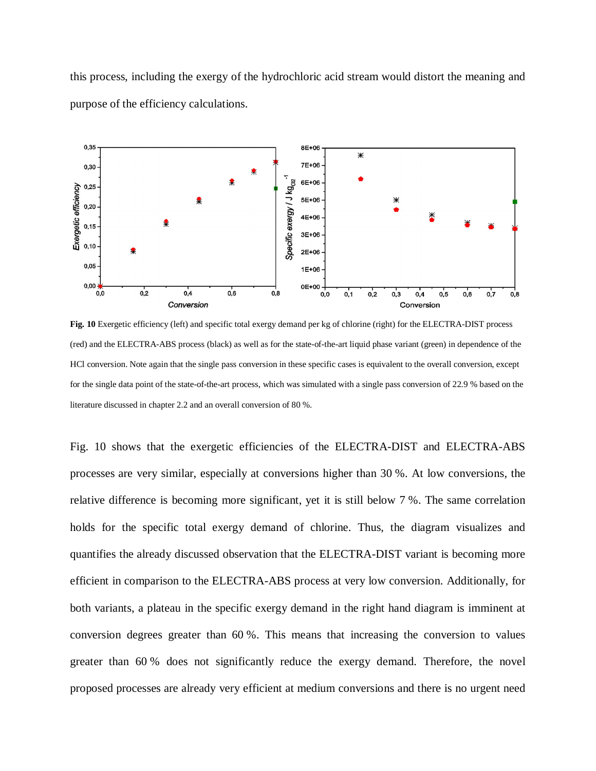this process, including the exergy of the hydrochloric acid stream would distort the meaning and purpose of the efficiency calculations.



**Fig. 10** Exergetic efficiency (left) and specific total exergy demand per kg of chlorine (right) for the ELECTRA-DIST process (red) and the ELECTRA-ABS process (black) as well as for the state-of-the-art liquid phase variant (green) in dependence of the HCl conversion. Note again that the single pass conversion in these specific cases is equivalent to the overall conversion, except for the single data point of the state-of-the-art process, which was simulated with a single pass conversion of 22.9 % based on the literature discussed in chapter 2.2 and an overall conversion of 80 %.

Fig. 10 shows that the exergetic efficiencies of the ELECTRA-DIST and ELECTRA-ABS processes are very similar, especially at conversions higher than 30 %. At low conversions, the relative difference is becoming more significant, yet it is still below 7 %. The same correlation holds for the specific total exergy demand of chlorine. Thus, the diagram visualizes and quantifies the already discussed observation that the ELECTRA-DIST variant is becoming more efficient in comparison to the ELECTRA-ABS process at very low conversion. Additionally, for both variants, a plateau in the specific exergy demand in the right hand diagram is imminent at conversion degrees greater than 60 %. This means that increasing the conversion to values greater than 60 % does not significantly reduce the exergy demand. Therefore, the novel proposed processes are already very efficient at medium conversions and there is no urgent need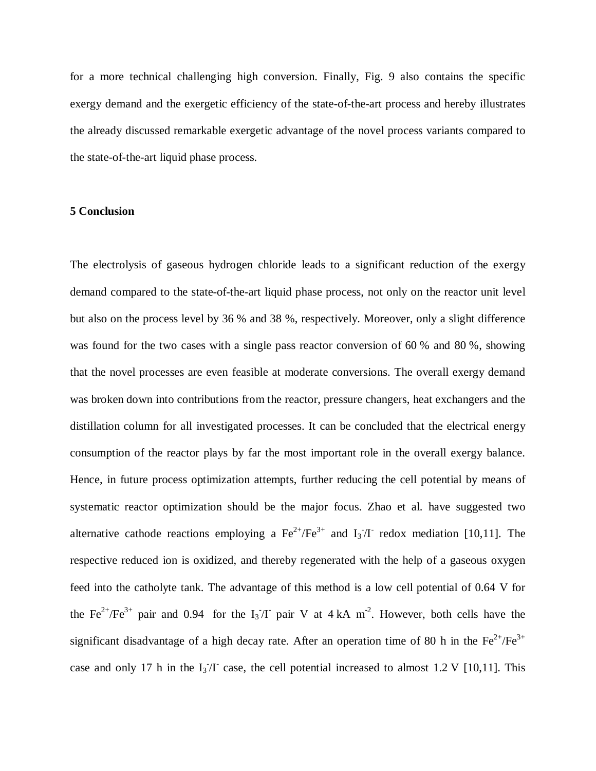for a more technical challenging high conversion. Finally, Fig. 9 also contains the specific exergy demand and the exergetic efficiency of the state-of-the-art process and hereby illustrates the already discussed remarkable exergetic advantage of the novel process variants compared to the state-of-the-art liquid phase process.

# **5 Conclusion**

The electrolysis of gaseous hydrogen chloride leads to a significant reduction of the exergy demand compared to the state-of-the-art liquid phase process, not only on the reactor unit level but also on the process level by 36 % and 38 %, respectively. Moreover, only a slight difference was found for the two cases with a single pass reactor conversion of 60 % and 80 %, showing that the novel processes are even feasible at moderate conversions. The overall exergy demand was broken down into contributions from the reactor, pressure changers, heat exchangers and the distillation column for all investigated processes. It can be concluded that the electrical energy consumption of the reactor plays by far the most important role in the overall exergy balance. Hence, in future process optimization attempts, further reducing the cell potential by means of systematic reactor optimization should be the major focus. Zhao et al. have suggested two alternative cathode reactions employing a  $\text{Fe}^{2+}/\text{Fe}^{3+}$  and  $I_3/I$  redox mediation [10,11]. The respective reduced ion is oxidized, and thereby regenerated with the help of a gaseous oxygen feed into the catholyte tank. The advantage of this method is a low cell potential of 0.64 V for the Fe<sup>2+</sup>/Fe<sup>3+</sup> pair and 0.94 for the I<sub>3</sub><sup>-</sup>/I pair V at 4 kA m<sup>-2</sup>. However, both cells have the significant disadvantage of a high decay rate. After an operation time of 80 h in the  $Fe^{2+}/Fe^{3+}$ case and only 17 h in the  $I_3/I$  case, the cell potential increased to almost 1.2 V [10,11]. This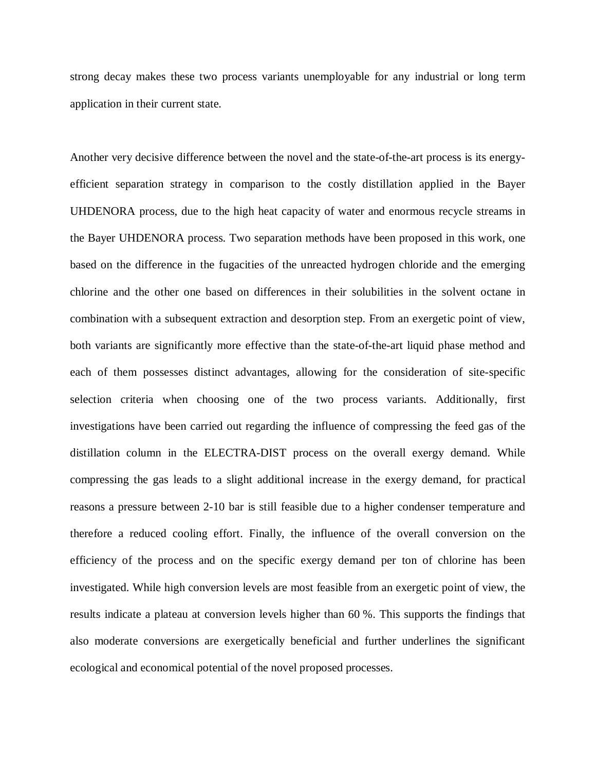strong decay makes these two process variants unemployable for any industrial or long term application in their current state.

Another very decisive difference between the novel and the state-of-the-art process is its energyefficient separation strategy in comparison to the costly distillation applied in the Bayer UHDENORA process, due to the high heat capacity of water and enormous recycle streams in the Bayer UHDENORA process. Two separation methods have been proposed in this work, one based on the difference in the fugacities of the unreacted hydrogen chloride and the emerging chlorine and the other one based on differences in their solubilities in the solvent octane in combination with a subsequent extraction and desorption step. From an exergetic point of view, both variants are significantly more effective than the state-of-the-art liquid phase method and each of them possesses distinct advantages, allowing for the consideration of site-specific selection criteria when choosing one of the two process variants. Additionally, first investigations have been carried out regarding the influence of compressing the feed gas of the distillation column in the ELECTRA-DIST process on the overall exergy demand. While compressing the gas leads to a slight additional increase in the exergy demand, for practical reasons a pressure between 2-10 bar is still feasible due to a higher condenser temperature and therefore a reduced cooling effort. Finally, the influence of the overall conversion on the efficiency of the process and on the specific exergy demand per ton of chlorine has been investigated. While high conversion levels are most feasible from an exergetic point of view, the results indicate a plateau at conversion levels higher than 60 %. This supports the findings that also moderate conversions are exergetically beneficial and further underlines the significant ecological and economical potential of the novel proposed processes.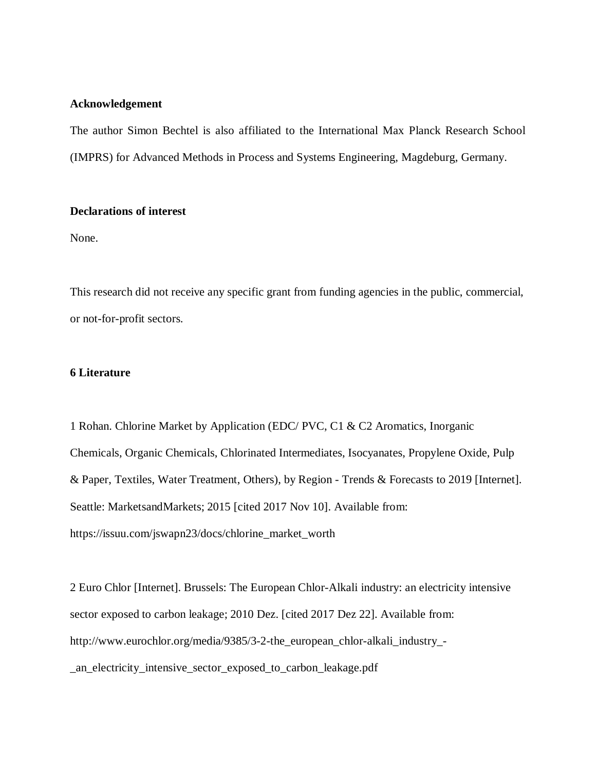# **Acknowledgement**

The author Simon Bechtel is also affiliated to the International Max Planck Research School (IMPRS) for Advanced Methods in Process and Systems Engineering, Magdeburg, Germany.

# **Declarations of interest**

None.

This research did not receive any specific grant from funding agencies in the public, commercial, or not-for-profit sectors.

# **6 Literature**

1 Rohan. Chlorine Market by Application (EDC/ PVC, C1 & C2 Aromatics, Inorganic Chemicals, Organic Chemicals, Chlorinated Intermediates, Isocyanates, Propylene Oxide, Pulp & Paper, Textiles, Water Treatment, Others), by Region - Trends & Forecasts to 2019 [Internet]. Seattle: MarketsandMarkets; 2015 [cited 2017 Nov 10]. Available from: https://issuu.com/jswapn23/docs/chlorine\_market\_worth

2 Euro Chlor [Internet]. Brussels: The European Chlor-Alkali industry: an electricity intensive sector exposed to carbon leakage; 2010 Dez. [cited 2017 Dez 22]. Available from: http://www.eurochlor.org/media/9385/3-2-the\_european\_chlor-alkali\_industry\_- \_an\_electricity\_intensive\_sector\_exposed\_to\_carbon\_leakage.pdf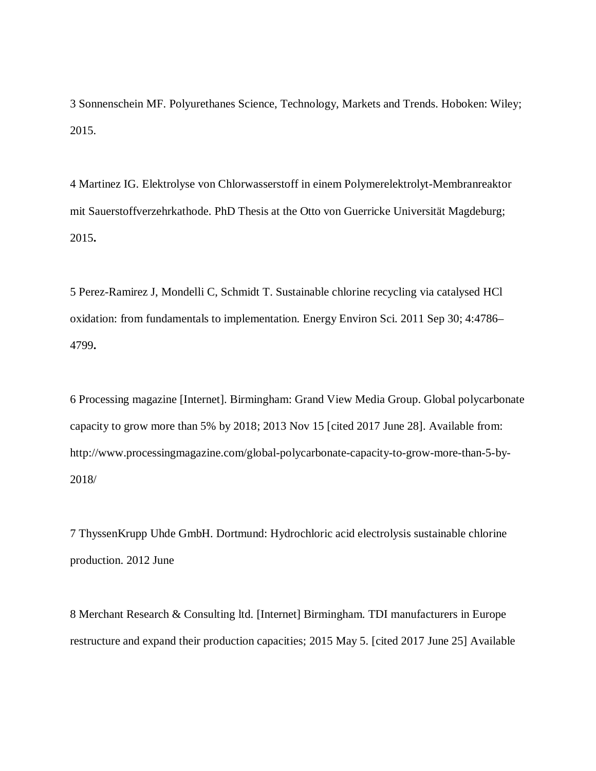3 Sonnenschein MF. Polyurethanes Science, Technology, Markets and Trends. Hoboken: Wiley; 2015.

4 Martinez IG. Elektrolyse von Chlorwasserstoff in einem Polymerelektrolyt-Membranreaktor mit Sauerstoffverzehrkathode. PhD Thesis at the Otto von Guerricke Universität Magdeburg; 2015**.**

5 Perez-Ramirez J, Mondelli C, Schmidt T. Sustainable chlorine recycling via catalysed HCl oxidation: from fundamentals to implementation. Energy Environ Sci. 2011 Sep 30; 4:4786– 4799**.**

6 Processing magazine [Internet]. Birmingham: Grand View Media Group. Global polycarbonate capacity to grow more than 5% by 2018; 2013 Nov 15 [cited 2017 June 28]. Available from: http://www.processingmagazine.com/global-polycarbonate-capacity-to-grow-more-than-5-by-2018/

7 ThyssenKrupp Uhde GmbH. Dortmund: Hydrochloric acid electrolysis sustainable chlorine production. 2012 June

8 Merchant Research & Consulting ltd. [Internet] Birmingham. TDI manufacturers in Europe restructure and expand their production capacities; 2015 May 5. [cited 2017 June 25] Available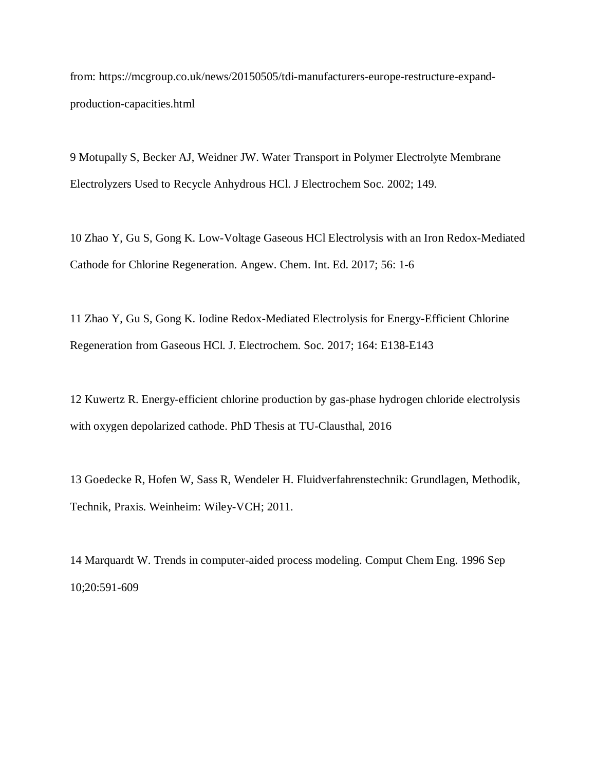from: https://mcgroup.co.uk/news/20150505/tdi-manufacturers-europe-restructure-expandproduction-capacities.html

9 Motupally S, Becker AJ, Weidner JW. Water Transport in Polymer Electrolyte Membrane Electrolyzers Used to Recycle Anhydrous HCl. J Electrochem Soc. 2002; 149.

10 Zhao Y, Gu S, Gong K. Low-Voltage Gaseous HCl Electrolysis with an Iron Redox-Mediated Cathode for Chlorine Regeneration. Angew. Chem. Int. Ed. 2017; 56: 1-6

11 Zhao Y, Gu S, Gong K. Iodine Redox-Mediated Electrolysis for Energy-Efficient Chlorine Regeneration from Gaseous HCl. J. Electrochem. Soc. 2017; 164: E138-E143

12 Kuwertz R. Energy-efficient chlorine production by gas-phase hydrogen chloride electrolysis with oxygen depolarized cathode. PhD Thesis at TU-Clausthal, 2016

13 Goedecke R, Hofen W, Sass R, Wendeler H. Fluidverfahrenstechnik: Grundlagen, Methodik, Technik, Praxis. Weinheim: Wiley-VCH; 2011.

14 Marquardt W. Trends in computer-aided process modeling. Comput Chem Eng. 1996 Sep 10;20:591-609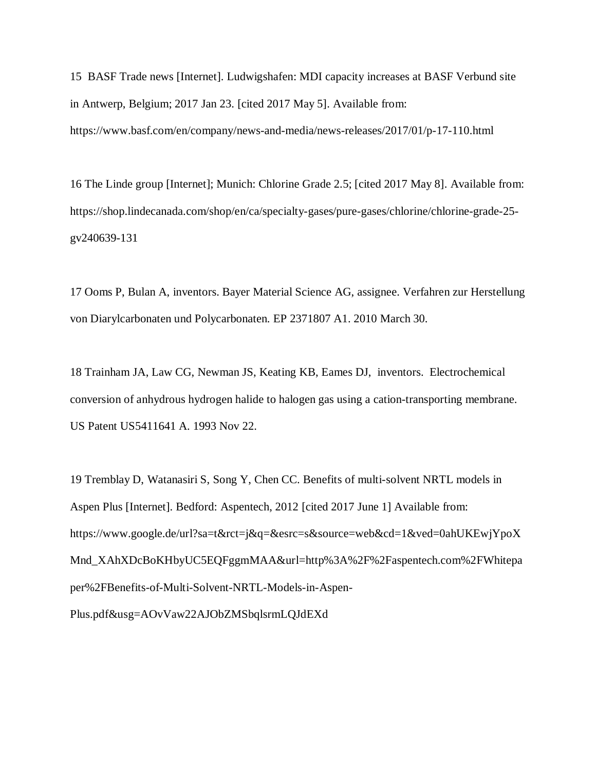15 BASF Trade news [Internet]. Ludwigshafen: MDI capacity increases at BASF Verbund site in Antwerp, Belgium; 2017 Jan 23. [cited 2017 May 5]. Available from: https://www.basf.com/en/company/news-and-media/news-releases/2017/01/p-17-110.html

16 The Linde group [Internet]; Munich: Chlorine Grade 2.5; [cited 2017 May 8]. Available from: https://shop.lindecanada.com/shop/en/ca/specialty-gases/pure-gases/chlorine/chlorine-grade-25 gv240639-131

17 Ooms P, Bulan A, inventors. Bayer Material Science AG, assignee. Verfahren zur Herstellung von Diarylcarbonaten und Polycarbonaten. EP 2371807 A1. 2010 March 30.

18 Trainham JA, Law CG, Newman JS, Keating KB, Eames DJ, inventors. Electrochemical conversion of anhydrous hydrogen halide to halogen gas using a cation-transporting membrane. US Patent US5411641 A. 1993 Nov 22.

19 Tremblay D, Watanasiri S, Song Y, Chen CC. Benefits of multi-solvent NRTL models in Aspen Plus [Internet]. Bedford: Aspentech, 2012 [cited 2017 June 1] Available from: https://www.google.de/url?sa=t&rct=j&q=&esrc=s&source=web&cd=1&ved=0ahUKEwjYpoX Mnd\_XAhXDcBoKHbyUC5EQFggmMAA&url=http%3A%2F%2Faspentech.com%2FWhitepa per%2FBenefits-of-Multi-Solvent-NRTL-Models-in-Aspen-Plus.pdf&usg=AOvVaw22AJObZMSbqlsrmLQJdEXd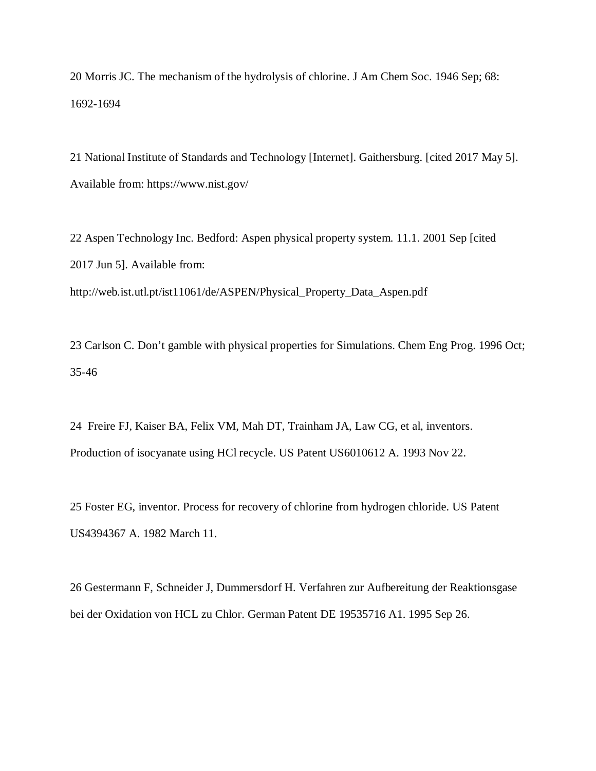20 Morris JC. The mechanism of the hydrolysis of chlorine. J Am Chem Soc. 1946 Sep; 68: 1692-1694

21 National Institute of Standards and Technology [Internet]. Gaithersburg. [cited 2017 May 5]. Available from: https://www.nist.gov/

22 Aspen Technology Inc. Bedford: Aspen physical property system. 11.1. 2001 Sep [cited 2017 Jun 5]. Available from: http://web.ist.utl.pt/ist11061/de/ASPEN/Physical\_Property\_Data\_Aspen.pdf

23 Carlson C. Don't gamble with physical properties for Simulations. Chem Eng Prog. 1996 Oct; 35-46

24 Freire FJ, Kaiser BA, Felix VM, Mah DT, Trainham JA, Law CG, et al, inventors. Production of isocyanate using HCl recycle. US Patent US6010612 A. 1993 Nov 22.

25 Foster EG, inventor. Process for recovery of chlorine from hydrogen chloride. US Patent US4394367 A. 1982 March 11.

26 Gestermann F, Schneider J, Dummersdorf H. Verfahren zur Aufbereitung der Reaktionsgase bei der Oxidation von HCL zu Chlor. German Patent DE 19535716 A1. 1995 Sep 26.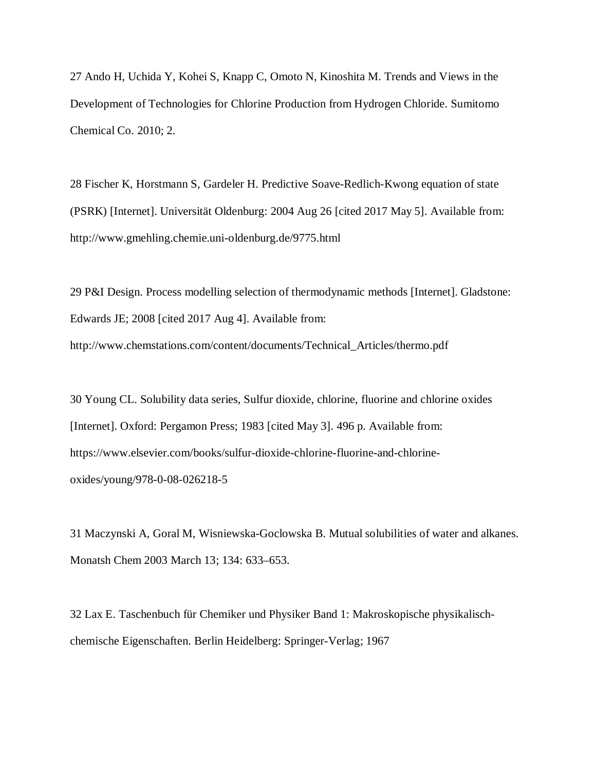27 Ando H, Uchida Y, Kohei S, Knapp C, Omoto N, Kinoshita M. Trends and Views in the Development of Technologies for Chlorine Production from Hydrogen Chloride. Sumitomo Chemical Co. 2010; 2.

28 Fischer K, Horstmann S, Gardeler H. Predictive Soave-Redlich-Kwong equation of state (PSRK) [Internet]. Universität Oldenburg: 2004 Aug 26 [cited 2017 May 5]. Available from: http://www.gmehling.chemie.uni-oldenburg.de/9775.html

29 P&I Design. Process modelling selection of thermodynamic methods [Internet]. Gladstone: Edwards JE; 2008 [cited 2017 Aug 4]. Available from: http://www.chemstations.com/content/documents/Technical\_Articles/thermo.pdf

30 Young CL. Solubility data series, Sulfur dioxide, chlorine, fluorine and chlorine oxides [Internet]. Oxford: Pergamon Press; 1983 [cited May 3]. 496 p. Available from: https://www.elsevier.com/books/sulfur-dioxide-chlorine-fluorine-and-chlorineoxides/young/978-0-08-026218-5

31 Maczynski A, Goral M, Wisniewska-Goclowska B. Mutual solubilities of water and alkanes. Monatsh Chem 2003 March 13; 134: 633–653.

32 Lax E. Taschenbuch für Chemiker und Physiker Band 1: Makroskopische physikalischchemische Eigenschaften. Berlin Heidelberg: Springer-Verlag; 1967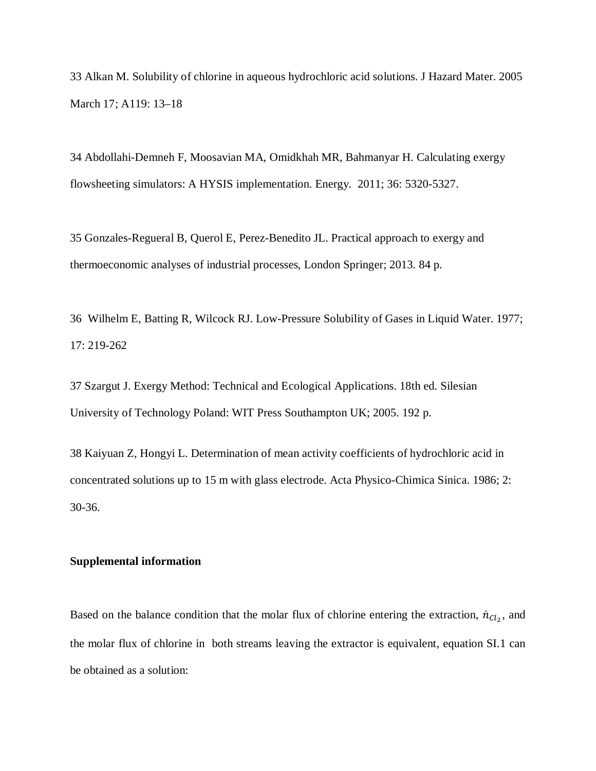33 Alkan M. Solubility of chlorine in aqueous hydrochloric acid solutions. J Hazard Mater. 2005 March 17; A119: 13–18

34 Abdollahi-Demneh F, Moosavian MA, Omidkhah MR, Bahmanyar H. Calculating exergy flowsheeting simulators: A HYSIS implementation. Energy. 2011; 36: 5320-5327.

35 Gonzales-Regueral B, Querol E, Perez-Benedito JL. Practical approach to exergy and thermoeconomic analyses of industrial processes, London Springer; 2013. 84 p.

36 Wilhelm E, Batting R, Wilcock RJ. Low-Pressure Solubility of Gases in Liquid Water. 1977; 17: 219-262

37 Szargut J. Exergy Method: Technical and Ecological Applications. 18th ed. Silesian University of Technology Poland: WIT Press Southampton UK; 2005. 192 p.

38 Kaiyuan Z, Hongyi L. Determination of mean activity coefficients of hydrochloric acid in concentrated solutions up to 15 m with glass electrode. Acta Physico-Chimica Sinica. 1986; 2: 30-36.

#### **Supplemental information**

Based on the balance condition that the molar flux of chlorine entering the extraction,  $\dot{n}_{Cl_2}$ , and the molar flux of chlorine in both streams leaving the extractor is equivalent, equation SI.1 can be obtained as a solution: